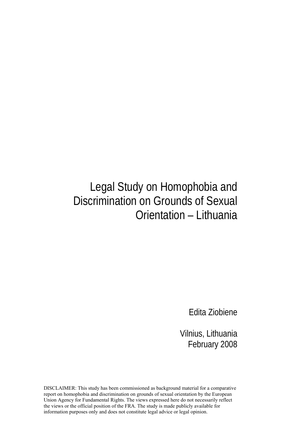# Legal Study on Homophobia and Discrimination on Grounds of Sexual Orientation – Lithuania

Edita Ziobiene

Vilnius, Lithuania February 2008

DISCLAIMER: This study has been commissioned as background material for a comparative report on homophobia and discrimination on grounds of sexual orientation by the European Union Agency for Fundamental Rights. The views expressed here do not necessarily reflect the views or the official position of the FRA. The study is made publicly available for information purposes only and does not constitute legal advice or legal opinion.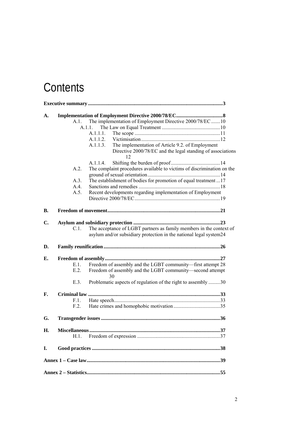# **Contents**

| A.        |         |                                                                                                                                           |
|-----------|---------|-------------------------------------------------------------------------------------------------------------------------------------------|
|           | A.1.    | The implementation of Employment Directive 2000/78/EC 10                                                                                  |
|           |         | A.1.1.                                                                                                                                    |
|           |         | A.1.1.1.                                                                                                                                  |
|           |         | A.1.1.2.                                                                                                                                  |
|           |         | The implementation of Article 9.2. of Employment<br>A.1.1.3.                                                                              |
|           |         | Directive 2000/78/EC and the legal standing of associations<br>12                                                                         |
|           |         | A.1.1.4.                                                                                                                                  |
|           | A.2.    | The complaint procedures available to victims of discrimination on the                                                                    |
|           |         |                                                                                                                                           |
|           | A.3.    | The establishment of bodies for promotion of equal treatment17                                                                            |
|           | A.4.    |                                                                                                                                           |
|           | A.5.    | Recent developments regarding implementation of Employment                                                                                |
|           |         |                                                                                                                                           |
| <b>B.</b> |         |                                                                                                                                           |
|           |         |                                                                                                                                           |
| C.        |         |                                                                                                                                           |
|           | C.L.    | The acceptance of LGBT partners as family members in the context of<br>asylum and/or subsidiary protection in the national legal system24 |
| D.        |         |                                                                                                                                           |
| Е.        |         |                                                                                                                                           |
|           | $E.1$ . | Freedom of assembly and the LGBT community-first attempt 28                                                                               |
|           | E.2.    | Freedom of assembly and the LGBT community-second attempt<br>30                                                                           |
|           | E.3.    | Problematic aspects of regulation of the right to assembly 30                                                                             |
| F.        |         |                                                                                                                                           |
|           | F.1.    |                                                                                                                                           |
|           | F.2.    |                                                                                                                                           |
| G.        |         |                                                                                                                                           |
| Η.        |         |                                                                                                                                           |
|           | H.1.    |                                                                                                                                           |
| I.        |         |                                                                                                                                           |
|           |         |                                                                                                                                           |
|           |         |                                                                                                                                           |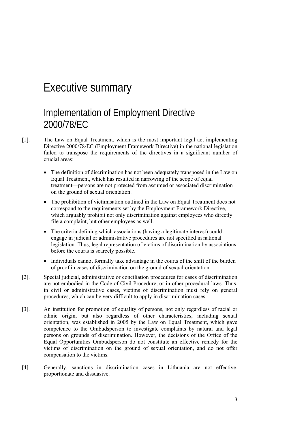## Executive summary

### Implementation of Employment Directive 2000/78/EC

- [1]. The Law on Equal Treatment, which is the most important legal act implementing Directive 2000/78/EC (Employment Framework Directive) in the national legislation failed to transpose the requirements of the directives in a significant number of crucial areas:
	- The definition of discrimination has not been adequately transposed in the Law on Equal Treatment, which has resulted in narrowing of the scope of equal treatment—persons are not protected from assumed or associated discrimination on the ground of sexual orientation.
	- The prohibition of victimisation outlined in the Law on Equal Treatment does not correspond to the requirements set by the Employment Framework Directive, which arguably prohibit not only discrimination against employees who directly file a complaint, but other employees as well.
	- The criteria defining which associations (having a legitimate interest) could engage in judicial or administrative procedures are not specified in national legislation. Thus, legal representation of victims of discrimination by associations before the courts is scarcely possible.
	- Individuals cannot formally take advantage in the courts of the shift of the burden of proof in cases of discrimination on the ground of sexual orientation.
- [2]. Special judicial, administrative or conciliation procedures for cases of discrimination are not embodied in the Code of Civil Procedure, or in other procedural laws. Thus, in civil or administrative cases, victims of discrimination must rely on general procedures, which can be very difficult to apply in discrimination cases.
- [3]. An institution for promotion of equality of persons, not only regardless of racial or ethnic origin, but also regardless of other characteristics, including sexual orientation, was established in 2005 by the Law on Equal Treatment, which gave competence to the Ombudsperson to investigate complaints by natural and legal persons on grounds of discrimination. However, the decisions of the Office of the Equal Opportunities Ombudsperson do not constitute an effective remedy for the victims of discrimination on the ground of sexual orientation, and do not offer compensation to the victims.
- [4]. Generally, sanctions in discrimination cases in Lithuania are not effective, proportionate and dissuasive.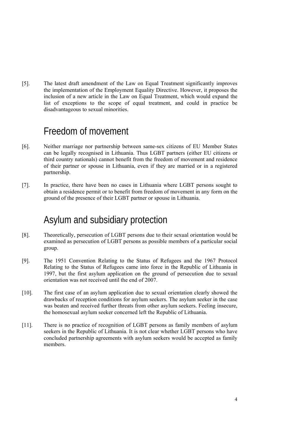[5]. The latest draft amendment of the Law on Equal Treatment significantly improves the implementation of the Employment Equality Directive. However, it proposes the inclusion of a new article in the Law on Equal Treatment, which would expand the list of exceptions to the scope of equal treatment, and could in practice be disadvantageous to sexual minorities.

### Freedom of movement

- [6]. Neither marriage nor partnership between same-sex citizens of EU Member States can be legally recognised in Lithuania. Thus LGBT partners (either EU citizens or third country nationals) cannot benefit from the freedom of movement and residence of their partner or spouse in Lithuania, even if they are married or in a registered partnership.
- [7]. In practice, there have been no cases in Lithuania where LGBT persons sought to obtain a residence permit or to benefit from freedom of movement in any form on the ground of the presence of their LGBT partner or spouse in Lithuania.

### Asylum and subsidiary protection

- [8]. Theoretically, persecution of LGBT persons due to their sexual orientation would be examined as persecution of LGBT persons as possible members of a particular social group.
- [9]. The 1951 Convention Relating to the Status of Refugees and the 1967 Protocol Relating to the Status of Refugees came into force in the Republic of Lithuania in 1997, but the first asylum application on the ground of persecution due to sexual orientation was not received until the end of 2007.
- [10]. The first case of an asylum application due to sexual orientation clearly showed the drawbacks of reception conditions for asylum seekers. The asylum seeker in the case was beaten and received further threats from other asylum seekers. Feeling insecure, the homosexual asylum seeker concerned left the Republic of Lithuania.
- [11]. There is no practice of recognition of LGBT persons as family members of asylum seekers in the Republic of Lithuania. It is not clear whether LGBT persons who have concluded partnership agreements with asylum seekers would be accepted as family members.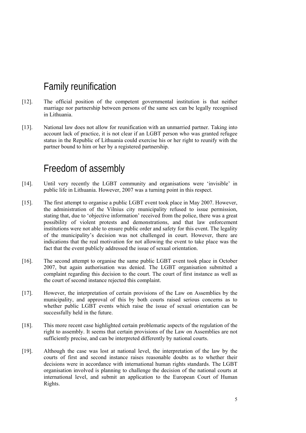## Family reunification

- [12]. The official position of the competent governmental institution is that neither marriage nor partnership between persons of the same sex can be legally recognised in Lithuania.
- [13]. National law does not allow for reunification with an unmarried partner. Taking into account lack of practice, it is not clear if an LGBT person who was granted refugee status in the Republic of Lithuania could exercise his or her right to reunify with the partner bound to him or her by a registered partnership.

### Freedom of assembly

- [14]. Until very recently the LGBT community and organisations were 'invisible' in public life in Lithuania. However, 2007 was a turning point in this respect.
- [15]. The first attempt to organise a public LGBT event took place in May 2007. However, the administration of the Vilnius city municipality refused to issue permission, stating that, due to 'objective information' received from the police, there was a great possibility of violent protests and demonstrations, and that law enforcement institutions were not able to ensure public order and safety for this event. The legality of the municipality's decision was not challenged in court. However, there are indications that the real motivation for not allowing the event to take place was the fact that the event publicly addressed the issue of sexual orientation.
- [16]. The second attempt to organise the same public LGBT event took place in October 2007, but again authorisation was denied. The LGBT organisation submitted a complaint regarding this decision to the court. The court of first instance as well as the court of second instance rejected this complaint.
- [17]. However, the interpretation of certain provisions of the Law on Assemblies by the municipality, and approval of this by both courts raised serious concerns as to whether public LGBT events which raise the issue of sexual orientation can be successfully held in the future.
- [18]. This more recent case highlighted certain problematic aspects of the regulation of the right to assembly. It seems that certain provisions of the Law on Assemblies are not sufficiently precise, and can be interpreted differently by national courts.
- [19]. Although the case was lost at national level, the interpretation of the law by the courts of first and second instance raises reasonable doubts as to whether their decisions were in accordance with international human rights standards. The LGBT organisation involved is planning to challenge the decision of the national courts at international level, and submit an application to the European Court of Human Rights.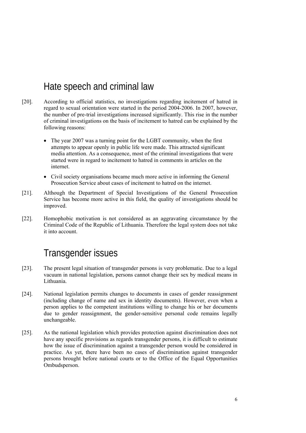### Hate speech and criminal law

- [20]. According to official statistics, no investigations regarding incitement of hatred in regard to sexual orientation were started in the period 2004-2006. In 2007, however, the number of pre-trial investigations increased significantly. This rise in the number of criminal investigations on the basis of incitement to hatred can be explained by the following reasons:
	- The year 2007 was a turning point for the LGBT community, when the first attempts to appear openly in public life were made. This attracted significant media attention. As a consequence, most of the criminal investigations that were started were in regard to incitement to hatred in comments in articles on the internet.
	- Civil society organisations became much more active in informing the General Prosecution Service about cases of incitement to hatred on the internet.
- [21]. Although the Department of Special Investigations of the General Prosecution Service has become more active in this field, the quality of investigations should be improved.
- [22]. Homophobic motivation is not considered as an aggravating circumstance by the Criminal Code of the Republic of Lithuania. Therefore the legal system does not take it into account.

## Transgender issues

- [23]. The present legal situation of transgender persons is very problematic. Due to a legal vacuum in national legislation, persons cannot change their sex by medical means in Lithuania.
- [24]. National legislation permits changes to documents in cases of gender reassignment (including change of name and sex in identity documents). However, even when a person applies to the competent institutions willing to change his or her documents due to gender reassignment, the gender-sensitive personal code remains legally unchangeable.
- [25]. As the national legislation which provides protection against discrimination does not have any specific provisions as regards transgender persons, it is difficult to estimate how the issue of discrimination against a transgender person would be considered in practice. As yet, there have been no cases of discrimination against transgender persons brought before national courts or to the Office of the Equal Opportunities Ombudsperson.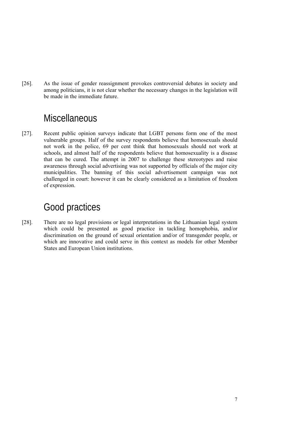[26]. As the issue of gender reassignment provokes controversial debates in society and among politicians, it is not clear whether the necessary changes in the legislation will be made in the immediate future.

### **Miscellaneous**

[27]. Recent public opinion surveys indicate that LGBT persons form one of the most vulnerable groups. Half of the survey respondents believe that homosexuals should not work in the police, 69 per cent think that homosexuals should not work at schools, and almost half of the respondents believe that homosexuality is a disease that can be cured. The attempt in 2007 to challenge these stereotypes and raise awareness through social advertising was not supported by officials of the major city municipalities. The banning of this social advertisement campaign was not challenged in court: however it can be clearly considered as a limitation of freedom of expression.

### Good practices

[28]. There are no legal provisions or legal interpretations in the Lithuanian legal system which could be presented as good practice in tackling homophobia, and/or discrimination on the ground of sexual orientation and/or of transgender people, or which are innovative and could serve in this context as models for other Member States and European Union institutions.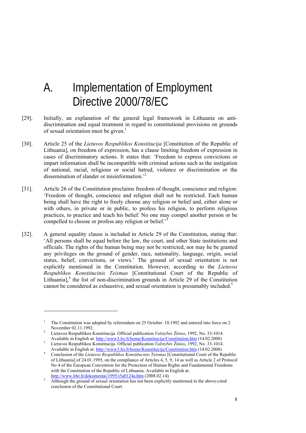## A. Implementation of Employment Directive 2000/78/EC

- [29]. Initially, an explanation of the general legal framework in Lithuania on antidiscrimination and equal treatment in regard to constitutional provisions on grounds of sexual orientation must be given. $1$
- [30]. Article 25 of the *Lietuvos Respublikos Konstitucija* [Constitution of the Republic of Lithuania], on freedom of expression, has a clause limiting freedom of expression in cases of discriminatory actions. It states that: 'Freedom to express convictions or impart information shall be incompatible with criminal actions such as the instigation of national, racial, religious or social hatred, violence or discrimination or the dissemination of slander or misinformation.'2
- [31]. Article 26 of the Constitution proclaims freedom of thought, conscience and religion: 'Freedom of thought, conscience and religion shall not be restricted. Each human being shall have the right to freely choose any religion or belief and, either alone or with others, in private or in public, to profess his religion, to perform religious practices, to practice and teach his belief. No one may compel another person or be compelled to choose or profess any religion or belief.<sup>3</sup>
- [32]. A general equality clause is included in Article 29 of the Constitution, stating that: 'All persons shall be equal before the law, the court, and other State institutions and officials. The rights of the human being may not be restricted, nor may he be granted any privileges on the ground of gender, race, nationality, language, origin, social status, belief, convictions, or views.' The ground of sexual orientation is not explicitly mentioned in the Constitution. However, according to the *Lietuvos Respublikos Konstitucinis Teismas* [Constitutional Court of the Republic of Lithuania], $<sup>4</sup>$  the list of non-discrimination grounds in Article 29 of the Constitution</sup> cannot be considered as exhaustive, and sexual orientation is presumably included.<sup>5</sup>

-

<sup>1</sup> The Constitution was adopted by referendum on 25 October .10.1992 and entered into force on 2 November 02.11.1992.

Lietuvos Respublikos Konstitucija. Official publication *Valstybės Žinios*, 1992, No. 33-1014. Available in English at: http://www3.lrs.lt/home/Konstitucija/Constitution.htm (14.02.2008) 3

Lietuvos Respublikos Konstitucija. Official publication *Valstybės Žinios*, 1992, No. 33-1014. Available in English at: http://www3.lrs.lt/home/Konstitucija/Constitution.htm (14.02.2008) 4

Conclusion of the *Lietuvos Respublikos Konstitucinis Teismas* [Constitutional Court of the Republic of Lithuania] of 24.01.1995, on the compliance of Articles 4, 5, 9, 14 as well as Article 2 of Protocol No 4 of the European Convention for the Protection of Human Rights and Fundamental Freedoms with the Constitution of the Republic of Lithuania. Available in English at: http://www.lrkt.lt/dokumentai/1995/i5a0124a.htm (2008.02.14).

Although the ground of sexual orientation has not been explicitly mentioned in the above-cited conclusion of the Constitutional Court.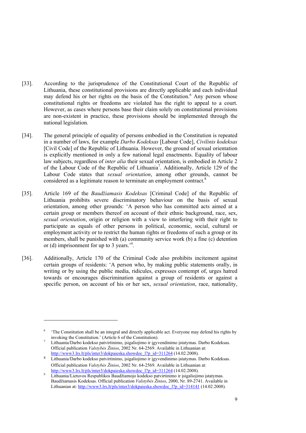- [33]. According to the jurisprudence of the Constitutional Court of the Republic of Lithuania, these constitutional provisions are directly applicable and each individual may defend his or her rights on the basis of the Constitution.<sup>6</sup> Any person whose constitutional rights or freedoms are violated has the right to appeal to a court. However, as cases where persons base their claim solely on constitutional provisions are non-existent in practice, these provisions should be implemented through the national legislation.
- [34]. The general principle of equality of persons embodied in the Constitution is repeated in a number of laws, for example *Darbo Kodeksas* [Labour Code], *Civilinis kodeksas* [Civil Code] of the Republic of Lithuania. However, the ground of sexual orientation is explicitly mentioned in only a few national legal enactments. Equality of labour law subjects, regardless of *inter alia* their sexual orientation, is embodied in Article 2 of the Labour Code of the Republic of Lithuania<sup>7</sup>. Additionally, Article 129 of the Labour Code states that *sexual orientation*, among other grounds, cannot be considered as a legitimate reason to terminate an employment contract.<sup>8</sup>
- [35]. Article 169 of the *Baudžiamasis Kodeksas* [Criminal Code] of the Republic of Lithuania prohibits severe discriminatory behaviour on the basis of sexual orientation, among other grounds: 'A person who has committed acts aimed at a certain group or members thereof on account of their ethnic background, race, sex, *sexual orientation*, origin or religion with a view to interfering with their right to participate as equals of other persons in political, economic, social, cultural or employment activity or to restrict the human rights or freedoms of such a group or its members, shall be punished with (a) community service work (b) a fine (c) detention or (d) imprisonment for up to 3 years.<sup>39</sup>.
- [36]. Additionally, Article 170 of the Criminal Code also prohibits incitement against certain groups of residents: 'A person who, by making public statements orally, in writing or by using the public media, ridicules, expresses contempt of, urges hatred towards or encourages discrimination against a group of residents or against a specific person, on account of his or her sex, *sexual orientation*, race, nationality,

<sup>6</sup> 'The Constitution shall be an integral and directly applicable act. Everyone may defend his rights by invoking the Constitution.' (Article 6 of the Constitution). 7

Lithuania/Darbo kodekso patvirtinimo, įsigaliojimo ir įgyvendinimo įstatymas. Darbo Kodeksas. Official publication *Valstybės Žinios*, 2002 Nr. 64-2569. Available in Lithuanian at: http://www3.lrs.lt/pls/inter3/dokpaieska.showdoc\_l?p\_id=311264 (14.02.2008).

<sup>8</sup> Lithuania/Darbo kodekso patvirtinimo, įsigaliojimo ir įgyvendinimo įstatymas. Darbo Kodeksas. Official publication *Valstybės Žinios*, 2002 Nr. 64-2569. Available in Lithuanian at: http://www3.lrs.lt/pls/inter3/dokpaieska.showdoc\_l?p\_id=311264 (14.02.2008).

Lithuania/Lietuvos Respublikos Baudžiamojo kodekso patvirtinimo ir įsigaliojimo įstatymas. Baudžiamasis Kodeksas. Official publication *Valstybės Žinios*, 2000, Nr. 89-2741. Available in Lithuanian at: http://www3.lrs.lt/pls/inter3/dokpaieska.showdoc\_l?p\_id=314141 (14.02.2008).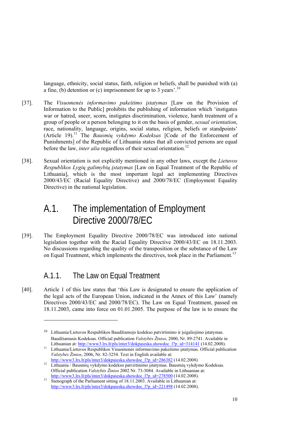language, ethnicity, social status, faith, religion or beliefs, shall be punished with (a) a fine, (b) detention or (c) imprisonment for up to 3 years'.<sup>10</sup>

- [37]. The *Visuomenės informavimo pakeitimo įstatymas* [Law on the Provision of Information to the Public] prohibits the publishing of information which 'instigates war or hatred, sneer, scorn, instigates discrimination, violence, harsh treatment of a group of people or a person belonging to it on the basis of gender, *sexual orientation*, race, nationality, language, origins, social status, religion, beliefs or standpoints' (Article 19).11 The *Bausmių vykdymo Kodeksas* [Code of the Enforcement of Punishments] of the Republic of Lithuania states that all convicted persons are equal before the law, *inter alia* regardless of their sexual orientation.<sup>12</sup>
- [38]. Sexual orientation is not explicitly mentioned in any other laws, except the *Lietuvos Respublikos Lygių galimybių įstatymas* [Law on Equal Treatment of the Republic of Lithuania], which is the most important legal act implementing Directives 2000/43/EC (Racial Equality Directive) and 2000/78/EC (Employment Equality Directive) in the national legislation.

## A.1. The implementation of Employment Directive 2000/78/EC

[39]. The Employment Equality Directive 2000/78/EC was introduced into national legislation together with the Racial Equality Directive 2000/43/EC on 18.11.2003. No discussions regarding the quality of the transposition or the substance of the Law on Equal Treatment, which implements the directives, took place in the Parliament.<sup>13</sup>

#### A.1.1. The Law on Equal Treatment

1

[40]. Article 1 of this law states that 'this Law is designated to ensure the application of the legal acts of the European Union, indicated in the Annex of this Law' (namely Directives 2000/43/EC and 2000/78/EC). The Law on Equal Treatment, passed on 18.11.2003, came into force on 01.01.2005. The purpose of the law is to ensure the

<sup>10</sup> Lithuania/Lietuvos Respublikos Baudžiamojo kodekso patvirtinimo ir įsigaliojimo įstatymas. Baudžiamasis Kodeksas. Official publication *Valstybės Žinios*, 2000, Nr. 89-2741. Available in

Lithuanian at: http://www3.lrs.lt/pls/inter3/dokpaieska.showdoc\_l?p\_id=314141 (14.02.2008).<br><sup>11</sup> Lithuania/Lietuvos Respublikos Visuomenės informavimo pakeitimo įstatymas. Official publication *Valstybės Žinios*, 2006, Nr. 82-3254. Text in English available at:

<sup>&</sup>lt;sup>12</sup> Lithuania / Bausmių vykdymo kodekso patvirtinimo įstatymas. Bausmių vykdymo Kodeksas. Official publication *Valstybės Žinios* 2002 Nr. 73-3084. Available in Lithuanian at:

http://www3.lrs.lt/pls/inter3/dokpaieska.showdoc\_l?p\_id=278500 (14.02.2008).<br>Stenograph of the Parliament sitting of 18.11.2003. Available in Lithuanian at: http://www3.lrs.lt/pls/inter3/dokpaieska.showdoc\_l?p\_id=221498 (14.02.2008).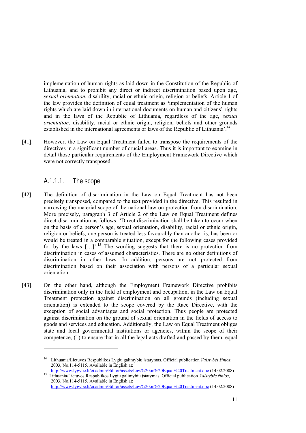implementation of human rights as laid down in the Constitution of the Republic of Lithuania, and to prohibit any direct or indirect discrimination based upon age, *sexual orientation*, disability, racial or ethnic origin, religion or beliefs. Article 1 of the law provides the definition of equal treatment as **'**implementation of the human rights which are laid down in international documents on human and citizens' rights and in the laws of the Republic of Lithuania, regardless of the age, *sexual orientation*, disability, racial or ethnic origin, religion, beliefs and other grounds established in the international agreements or laws of the Republic of Lithuania'.<sup>14</sup>

[41]. However, the Law on Equal Treatment failed to transpose the requirements of the directives in a significant number of crucial areas. Thus it is important to examine in detail those particular requirements of the Employment Framework Directive which were not correctly transposed.

#### A.1.1.1. The scope

- [42]. The definition of discrimination in the Law on Equal Treatment has not been precisely transposed, compared to the text provided in the directive. This resulted in narrowing the material scope of the national law on protection from discrimination. More precisely, paragraph 3 of Article 2 of the Law on Equal Treatment defines direct discrimination as follows: 'Direct discrimination shall be taken to occur when on the basis of a person's age, sexual orientation, disability, racial or ethnic origin, religion or beliefs, one person is treated less favourably than another is, has been or would be treated in a comparable situation, except for the following cases provided for by the laws  $\left[\ldots\right]$ .<sup>15</sup> The wording suggests that there is no protection from discrimination in cases of assumed characteristics. There are no other definitions of discrimination in other laws. In addition, persons are not protected from discrimination based on their association with persons of a particular sexual orientation.
- [43]. On the other hand, although the Employment Framework Directive prohibits discrimination only in the field of employment and occupation, in the Law on Equal Treatment protection against discrimination on all grounds (including sexual orientation) is extended to the scope covered by the Race Directive, with the exception of social advantages and social protection. Thus people are protected against discrimination on the ground of sexual orientation in the fields of access to goods and services and education. Additionally, the Law on Equal Treatment obliges state and local governmental institutions or agencies, within the scope of their competence, (1) to ensure that in all the legal acts drafted and passed by them, equal

<sup>14</sup> Lithuania/Lietuvos Respublikos Lygių galimybių įstatymas. Official publication *Valstybės žinios*, 2003, No.114-5115. Available in English at:<br>http://www.lygybe.lt/ci.admin/Editor/assets/Law%20on%20Equal%20Treatment.doc (14.02.2008)

<sup>&</sup>lt;sup>15</sup> Lithuania/Lietuvos Respublikos Lygių galimybių įstatymas. Official publication *Valstybės žinios*, 2003, No.114-5115. Available in English at:

http://www.lygybe.lt/ci.admin/Editor/assets/Law%20on%20Equal%20Treatment.doc (14.02.2008)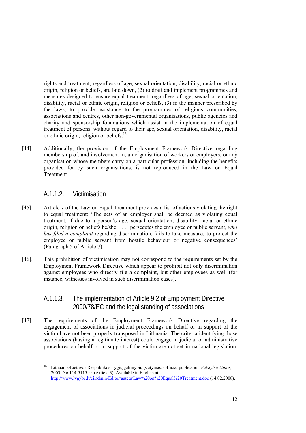rights and treatment, regardless of age, sexual orientation, disability, racial or ethnic origin, religion or beliefs, are laid down, (2) to draft and implement programmes and measures designed to ensure equal treatment, regardless of age, sexual orientation, disability, racial or ethnic origin, religion or beliefs, (3) in the manner prescribed by the laws, to provide assistance to the programmes of religious communities, associations and centres, other non-governmental organisations, public agencies and charity and sponsorship foundations which assist in the implementation of equal treatment of persons, without regard to their age, sexual orientation, disability, racial or ethnic origin, religion or beliefs.16

[44]. Additionally, the provision of the Employment Framework Directive regarding membership of, and involvement in, an organisation of workers or employers, or any organisation whose members carry on a particular profession, including the benefits provided for by such organisations, is not reproduced in the Law on Equal Treatment.

#### A.1.1.2. Victimisation

1

- [45]. Article 7 of the Law on Equal Treatment provides a list of actions violating the right to equal treatment: 'The acts of an employer shall be deemed as violating equal treatment, if due to a person's age, sexual orientation, disability, racial or ethnic origin, religion or beliefs he/she: […] persecutes the employee or public servant, *who has filed a complaint* regarding discrimination, fails to take measures to protect the employee or public servant from hostile behaviour or negative consequences' (Paragraph 5 of Article 7).
- [46]. This prohibition of victimisation may not correspond to the requirements set by the Employment Framework Directive which appear to prohibit not only discrimination against employees who directly file a complaint, but other employees as well (for instance, witnesses involved in such discrimination cases).

#### A.1.1.3. The implementation of Article 9.2 of Employment Directive 2000/78/EC and the legal standing of associations

[47]. The requirements of the Employment Framework Directive regarding the engagement of associations in judicial proceedings on behalf or in support of the victim have not been properly transposed in Lithuania. The criteria identifying those associations (having a legitimate interest) could engage in judicial or administrative procedures on behalf or in support of the victim are not set in national legislation.

<sup>16</sup> Lithuania/Lietuvos Respublikos Lygių galimybių įstatymas. Official publication *Valstybės žinios*, 2003, No.114-5115. 9. (Article 3). Available in English at: http://www.lygybe.lt/ci.admin/Editor/assets/Law%20on%20Equal%20Treatment.doc (14.02.2008).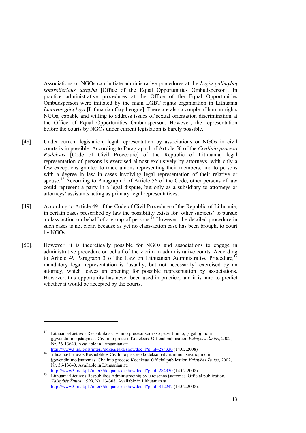Associations or NGOs can initiate administrative procedures at the *Lygių galimybių kontrolieriaus tarnyba* [Office of the Equal Opportunities Ombudsperson]. In practice administrative procedures at the Office of the Equal Opportunities Ombudsperson were initiated by the main LGBT rights organisation in Lithuania *Lietuvos gėjų lyga* [Lithuanian Gay League]. There are also a couple of human rights NGOs, capable and willing to address issues of sexual orientation discrimination at the Office of Equal Opportunities Ombudsperson. However, the representation before the courts by NGOs under current legislation is barely possible.

- [48]. Under current legislation, legal representation by associations or NGOs in civil courts is impossible. According to Paragraph 1 of Article 56 of the *Civilinio proceso Kodeksas* [Code of Civil Procedure] of the Republic of Lithuania, legal representation of persons is exercised almost exclusively by attorneys, with only a few exceptions granted to trade unions representing their members, and to persons with a degree in law in cases involving legal representation of their relative or spouse.<sup>17</sup> According to Paragraph 2 of Article 56 of the Code, other persons of law could represent a party in a legal dispute, but only as a subsidiary to attorneys or attorneys' assistants acting as primary legal representatives.
- [49]. According to Article 49 of the Code of Civil Procedure of the Republic of Lithuania, in certain cases prescribed by law the possibility exists for 'other subjects' to pursue a class action on behalf of a group of persons.18 However, the detailed procedure in such cases is not clear, because as yet no class-action case has been brought to court by NGOs.
- [50]. However, it is theoretically possible for NGOs and associations to engage in administrative procedure on behalf of the victim in administrative courts. According to Article 49 Paragraph 3 of the Law on Lithuanian Administrative Procedure.<sup>19</sup> mandatory legal representation is 'usually, but not necessarily' exercised by an attorney, which leaves an opening for possible representation by associations. However, this opportunity has never been used in practice, and it is hard to predict whether it would be accepted by the courts.

<sup>17</sup> Lithuania/Lietuvos Respublikos Civilinio proceso kodekso patvirtinimo, įsigaliojimo ir įgyvendinimo įstatymas. Civilinio proceso Kodeksas. Official publication *Valstybės Žinios*, 2002, Nr. 36-13640. Available in Lithuanian at:

http://www3.lrs.lt/pls/inter3/dokpaieska.showdoc\_l?p\_id=284330 (14.02.2008) 18 Lithuania/Lietuvos Respublikos Civilinio proceso kodekso patvirtinimo, įsigaliojimo ir įgyvendinimo įstatymas. Civilinio proceso Kodeksas. Official publication *Valstybės Žinios*, 2002, Nr. 36-13640. Available in Lithuanian at:

http://www3.lrs.lt/pls/inter3/dokpaieska.showdoc\_l?p\_id=284330 (14.02.2008) Lithuania/Lietuvos Respublikos Administracinių bylų teisenos įstatymas. Official publication, *Valstybės Žinios*, 1999, Nr. 13-308. Available in Lithuanian at: http://www3.lrs.lt/pls/inter3/dokpaieska.showdoc\_l?p\_id=312242 (14.02.2008).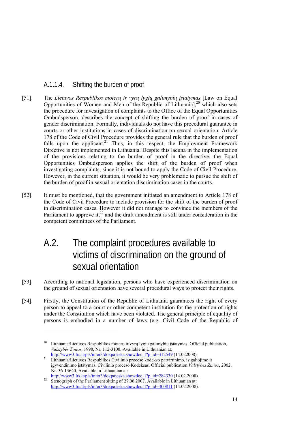#### A.1.1.4. Shifting the burden of proof

- [51]. The *Lietuvos Respublikos moterų ir vyrų lygių galimybių įstatymas* [Law on Equal Opportunities of Women and Men of the Republic of Lithuania],  $^{20}$  which also sets the procedure for investigation of complaints to the Office of the Equal Opportunities Ombudsperson, describes the concept of shifting the burden of proof in cases of gender discrimination. Formally, individuals do not have this procedural guarantee in courts or other institutions in cases of discrimination on sexual orientation. Article 178 of the Code of Civil Procedure provides the general rule that the burden of proof falls upon the applicant.<sup>21</sup> Thus, in this respect, the Employment Framework Directive is not implemented in Lithuania. Despite this lacuna in the implementation of the provisions relating to the burden of proof in the directive, the Equal Opportunities Ombudsperson applies the shift of the burden of proof when investigating complaints, since it is not bound to apply the Code of Civil Procedure. However, in the current situation, it would be very problematic to pursue the shift of the burden of proof in sexual orientation discrimination cases in the courts.
- [52]. It must be mentioned, that the government initiated an amendment to Article 178 of the Code of Civil Procedure to include provision for the shift of the burden of proof in discrimination cases. However it did not manage to convince the members of the Parliament to approve it, $^{22}$  and the draft amendment is still under consideration in the competent committees of the Parliament.

## A.2. The complaint procedures available to victims of discrimination on the ground of sexual orientation

- [53]. According to national legislation, persons who have experienced discrimination on the ground of sexual orientation have several procedural ways to protect their rights.
- [54]. Firstly, the Constitution of the Republic of Lithuania guarantees the right of every person to appeal to a court or other competent institution for the protection of rights under the Constitution which have been violated. The general principle of equality of persons is embodied in a number of laws (e.g. Civil Code of the Republic of

<sup>&</sup>lt;sup>20</sup> Lithuania/Lietuvos Respublikos moterų ir vyrų lygių galimybių įstatymas. Official publication, *Valstybės Žinios*, 1998, Nr. 112-3100. Available in Lithuanian at:

http://www3.lrs.lt/pls/inter3/dokpaieska.showdoc\_l?p\_id=312549 (14.022008). 21 Lithuania/Lietuvos Respublikos Civilinio proceso kodekso patvirtinimo, įsigaliojimo ir įgyvendinimo įstatymas. Civilinio proceso Kodeksas. Official publication *Valstybės Žinios*, 2002, Nr. 36-13640. Available in Lithuanian at:<br>http://www3.lrs.lt/pls/inter3/dokpaieska.showdoc 1?p id=284330 (14.02.2008).

 $\frac{\text{magnon number of components of the maximum number of times.}}{22}$  Stenograph of the Parliament sitting of 27.06.2007. Available in Lithuanian at: http://www3.lrs.lt/pls/inter3/dokpaieska.showdoc\_l?p\_id=300811 (14.02.2008).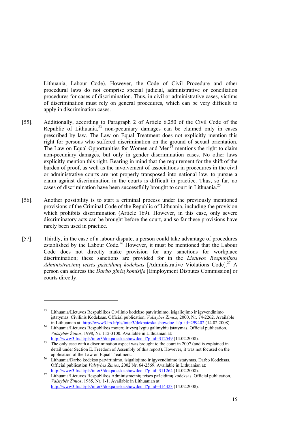Lithuania, Labour Code). However, the Code of Civil Procedure and other procedural laws do not comprise special judicial, administrative or conciliation procedures for cases of discrimination. Thus, in civil or administrative cases, victims of discrimination must rely on general procedures, which can be very difficult to apply in discrimination cases.

- [55]. Additionally, according to Paragraph 2 of Article 6.250 of the Civil Code of the Republic of Lithuania, $23$  non-pecuniary damages can be claimed only in cases prescribed by law. The Law on Equal Treatment does not explicitly mention this right for persons who suffered discrimination on the ground of sexual orientation. The Law on Equal Opportunities for Women and Men<sup> $24$ </sup> mentions the right to claim non-pecuniary damages, but only in gender discrimination cases. No other laws explicitly mention this right. Bearing in mind that the requirement for the shift of the burden of proof, as well as the involvement of associations in procedures in the civil or administrative courts are not properly transposed into national law, to pursue a claim against discrimination in the courts is difficult in practice. Thus, so far, no cases of discrimination have been successfully brought to court in Lithuania.<sup>25</sup>
- [56]. Another possibility is to start a criminal process under the previously mentioned provisions of the Criminal Code of the Republic of Lithuania, including the provision which prohibits discrimination (Article 169). However, in this case, only severe discriminatory acts can be brought before the court, and so far these provisions have rarely been used in practice.
- [57]. Thirdly, in the case of a labour dispute, a person could take advantage of procedures established by the Labour Code.<sup>26</sup> However, it must be mentioned that the Labour Code does not directly make provision for any sanctions for workplace discrimination; these sanctions are provided for in the *Lietuvos Respublikos Administracinių teisės pažeidimų kodeksas* [Administrative Violations Code].27 A person can address the *Darbo ginčų komisija* [Employment Disputes Commission] or courts directly.

-

<sup>23</sup> Lithuania/Lietuvos Respublikos Civilinio kodekso patvirtinimo, įsigaliojimo ir įgyvendinimo įstatymas. Civilinis Kodeksas. Official publication, *Valstybės Žinios*, 2000, Nr. 74-2262. Available

in Lithuanian at: http://www3.lrs.lt/pls/inter3/dokpaieska.showdoc\_l?p\_id=299402 (14.02.2008).<br>24 Lithuania/Lietuvos Respublikos moterų ir vyrų lygių galimybių įstatymas. Official publication, *Valstybės Žinios*, 1998, Nr. 112-3100. Available in Lithuanian at:

http://www3.lrs.lt/pls/inter3/dokpaieska.showdoc\_l?p\_id=312549 (14.02.2008).<br><sup>25</sup> The only case with a discrimination aspect was brought to the court in 2007 (and is explained in detail under Section E. Freedom of Assembly of this report). However, it was not focused on the

application of the Law on Equal Treatment. 26 Lithuania/Darbo kodekso patvirtinimo, įsigaliojimo ir įgyvendinimo įstatymas. Darbo Kodeksas. Official publication *Valstybės Žinios*, 2002 Nr. 64-2569. Available in Lithuanian at:

http://www3.lrs.lt/pls/inter3/dokpaieska.showdoc\_l?p\_id=311264 (14.02.2008). 27 Lithuania/Lietuvos Respublikos Administracinių teisės pažeidimų kodeksas. Official publication, *Valstybės Žinios*, 1985, Nr. 1-1. Available in Lithuanian at: http://www3.lrs.lt/pls/inter3/dokpaieska.showdoc\_l?p\_id=314423 (14.02.2008).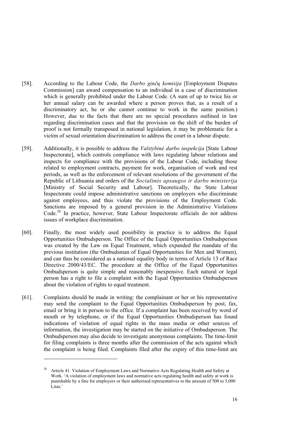- [58]. According to the Labour Code, the *Darbo ginčų komisija* [Employment Disputes Commission] can award compensation to an individual in a case of discrimination which is generally prohibited under the Labour Code. (A sum of up to twice his or her annual salary can be awarded where a person proves that, as a result of a discriminatory act, he or she cannot continue to work in the same position.) However, due to the facts that there are no special procedures outlined in law regarding discrimination cases and that the provision on the shift of the burden of proof is not formally transposed in national legislation, it may be problematic for a victim of sexual orientation discrimination to address the court in a labour dispute.
- [59]. Additionally, it is possible to address the *Valstybinė darbo inspekcija* [State Labour Inspectorate], which controls compliance with laws regulating labour relations and inspects for compliance with the provisions of the Labour Code, including those related to employment contracts, payment for work, organisation of work and rest periods, as well as the enforcement of relevant resolutions of the government of the Republic of Lithuania and orders of the *Socialinės apsaugos ir darbo ministerija* [Ministry of Social Security and Labour]. Theoretically, the State Labour Inspectorate could impose administrative sanctions on employers who discriminate against employees, and thus violate the provisions of the Employment Code. Sanctions are imposed by a general provision in the Administrative Violations Code.<sup>28</sup> In practice, however, State Labour Inspectorate officials do not address issues of workplace discrimination.
- [60]. Finally, the most widely used possibility in practice is to address the Equal Opportunities Ombudsperson. The Office of the Equal Opportunities Ombudsperson was created by the Law on Equal Treatment, which expanded the mandate of the previous institution (the Ombudsman of Equal Opportunities for Men and Women), and can thus be considered as a national equality body in terms of Article 13 of Race Directive 2000/43/EC. The procedure at the Office of the Equal Opportunities Ombudsperson is quite simple and reasonably inexpensive. Each natural or legal person has a right to file a complaint with the Equal Opportunities Ombudsperson about the violation of rights to equal treatment.
- [61]. Complaints should be made in writing: the complainant or her or his representative may send the complaint to the Equal Opportunities Ombudsperson by post, fax, email or bring it in person to the office. If a complaint has been received by word of mouth or by telephone, or if the Equal Opportunities Ombudsperson has found indications of violation of equal rights in the mass media or other sources of information, the investigation may be started on the initiative of Ombudsperson. The Ombudsperson may also decide to investigate anonymous complaints. The time-limit for filing complaints is three months after the commission of the acts against which the complaint is being filed. Complaints filed after the expiry of this time-limit are

<sup>28</sup> Article 41. Violation of Employment Laws and Normative Acts Regulating Health and Safety at Work. 'A violation of employment laws and normative acts regulating health and safety at work is punishable by a fine for employers or their authorised representatives to the amount of 500 to 5,000 Litas.'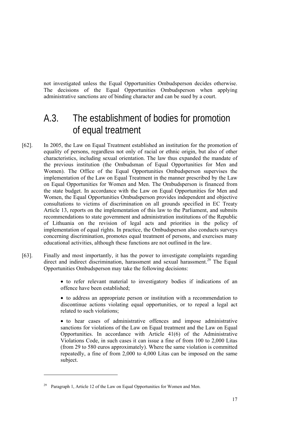not investigated unless the Equal Opportunities Ombudsperson decides otherwise. The decisions of the Equal Opportunities Ombudsperson when applying administrative sanctions are of binding character and can be sued by a court.

### A.3. The establishment of bodies for promotion of equal treatment

- [62]. In 2005, the Law on Equal Treatment established an institution for the promotion of equality of persons, regardless not only of racial or ethnic origin, but also of other characteristics, including sexual orientation. The law thus expanded the mandate of the previous institution (the Ombudsman of Equal Opportunities for Men and Women). The Office of the Equal Opportunities Ombudsperson supervises the implementation of the Law on Equal Treatment in the manner prescribed by the Law on Equal Opportunities for Women and Men. The Ombudsperson is financed from the state budget. In accordance with the Law on Equal Opportunities for Men and Women, the Equal Opportunities Ombudsperson provides independent and objective consultations to victims of discrimination on all grounds specified in EC Treaty Article 13, reports on the implementation of this law to the Parliament, and submits recommendations to state government and administration institutions of the Republic of Lithuania on the revision of legal acts and priorities in the policy of implementation of equal rights. In practice, the Ombudsperson also conducts surveys concerning discrimination, promotes equal treatment of persons, and exercises many educational activities, although these functions are not outlined in the law.
- [63]. Finally and most importantly, it has the power to investigate complaints regarding direct and indirect discrimination, harassment and sexual harassment.<sup>29</sup> The Equal Opportunities Ombudsperson may take the following decisions:

• to refer relevant material to investigatory bodies if indications of an offence have been established;

• to address an appropriate person or institution with a recommendation to discontinue actions violating equal opportunities, or to repeal a legal act related to such violations;

• to hear cases of administrative offences and impose administrative sanctions for violations of the Law on Equal treatment and the Law on Equal Opportunities. In accordance with Article 41(6) of the Administrative Violations Code, in such cases it can issue a fine of from 100 to 2,000 Litas (from 29 to 580 euros approximately). Where the same violation is committed repeatedly, a fine of from 2,000 to 4,000 Litas can be imposed on the same subject.

Paragraph 1, Article 12 of the Law on Equal Opportunities for Women and Men.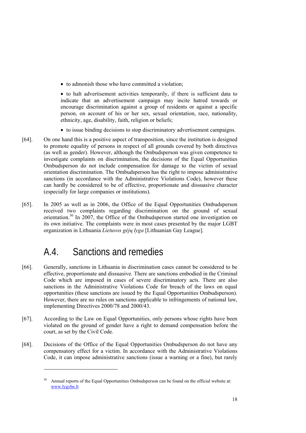• to admonish those who have committed a violation;

• to halt advertisement activities temporarily, if there is sufficient data to indicate that an advertisement campaign may incite hatred towards or encourage discrimination against a group of residents or against a specific person, on account of his or her sex, sexual orientation, race, nationality, ethnicity, age, disability, faith, religion or beliefs;

- to issue binding decisions to stop discriminatory advertisement campaigns.
- [64]. On one hand this is a positive aspect of transposition, since the institution is designed to promote equality of persons in respect of all grounds covered by both directives (as well as gender). However, although the Ombudsperson was given competence to investigate complaints on discrimination, the decisions of the Equal Opportunities Ombudsperson do not include compensation for damage to the victim of sexual orientation discrimination. The Ombudsperson has the right to impose administrative sanctions (in accordance with the Administrative Violations Code), however these can hardly be considered to be of effective, proportionate and dissuasive character (especially for large companies or institutions).
- [65]. In 2005 as well as in 2006, the Office of the Equal Opportunities Ombudsperson received two complaints regarding discrimination on the ground of sexual orientation.<sup>30</sup> In 2007, the Office of the Ombudsperson started one investigation on its own initiative. The complaints were in most cases presented by the major LGBT organization in Lithuania *Lietuvos gėjų lyga* [Lithuanian Gay League].

## A.4. Sanctions and remedies

-

- [66]. Generally, sanctions in Lithuania in discrimination cases cannot be considered to be effective, proportionate and dissuasive. There are sanctions embodied in the Criminal Code which are imposed in cases of severe discriminatory acts. There are also sanctions in the Administrative Violations Code for breach of the laws on equal opportunities (these sanctions are issued by the Equal Opportunities Ombudsperson). However, there are no rules on sanctions applicable to infringements of national law, implementing Directives 2000/78 and 2000/43.
- [67]. According to the Law on Equal Opportunities, only persons whose rights have been violated on the ground of gender have a right to demand compensation before the court, as set by the Civil Code.
- [68]. Decisions of the Office of the Equal Opportunities Ombudsperson do not have any compensatory effect for a victim. In accordance with the Administrative Violations Code, it can impose administrative sanctions (issue a warning or a fine), but rarely

<sup>30</sup> Annual reports of the Equal Opportunities Ombudsperson can be found on the official website at: www.lygybe.lt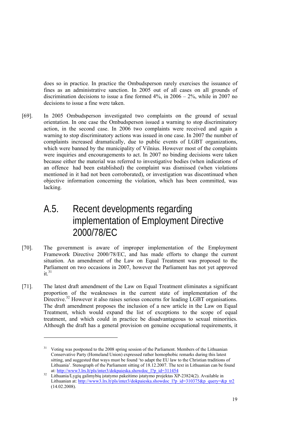does so in practice. In practice the Ombudsperson rarely exercises the issuance of fines as an administrative sanction. In 2005 out of all cases on all grounds of discrimination decisions to issue a fine formed  $4\%$ , in  $2006 - 2\%$ , while in 2007 no decisions to issue a fine were taken.

[69]. In 2005 Ombudsperson investigated two complaints on the ground of sexual orientation. In one case the Ombudsperson issued a warning to stop discriminatory action, in the second case. In 2006 two complaints were received and again a warning to stop discriminatory actions was issued in one case. In 2007 the number of complaints increased dramatically, due to public events of LGBT organizations, which were banned by the municipality of Vilnius. However most of the complaints were inquiries and encouragements to act. In 2007 no binding decisions were taken because either the material was referred to investigative bodies (when indications of an offence had been established) the complaint was dismissed (when violations mentioned in it had not been corroborated), or investigation was discontinued when objective information concerning the violation, which has been committed, was lacking.

### A.5. Recent developments regarding implementation of Employment Directive 2000/78/EC

- [70]. The government is aware of improper implementation of the Employment Framework Directive 2000/78/EC, and has made efforts to change the current situation. An amendment of the Law on Equal Treatment was proposed to the Parliament on two occasions in 2007, however the Parliament has not yet approved  $it<sup>31</sup>$
- [71]. The latest draft amendment of the Law on Equal Treatment eliminates a significant proportion of the weaknesses in the current state of implementation of the Directive.<sup>32</sup> However it also raises serious concerns for leading LGBT organisations. The draft amendment proposes the inclusion of a new article in the Law on Equal Treatment, which would expand the list of exceptions to the scope of equal treatment, and which could in practice be disadvantageous to sexual minorities. Although the draft has a general provision on genuine occupational requirements, it

<sup>31</sup> Voting was postponed to the 2008 spring session of the Parliament. Members of the Lithuanian Conservative Party (Homeland Union) expressed rather homophobic remarks during this latest sitting, and suggested that ways must be found 'to adapt the EU law to the Christian traditions of Lithuania'. Stenograph of the Parliament sitting of 18.12.2007. The text in Lithuanian can be found

at: http://www3.lrs.lt/pls/inter3/dokpaieska.showdoc\_l?p\_id=311454<br>32 Lithuania/Lygių galimybių įstatymo pakeitimo įstatymo projektas XP-23824(2). Available in Lithuanian at: http://www3.lrs.lt/pls/inter3/dokpaieska.showdoc\_l?p\_id=310375&p\_query=&p\_tr2 (14.02.2008).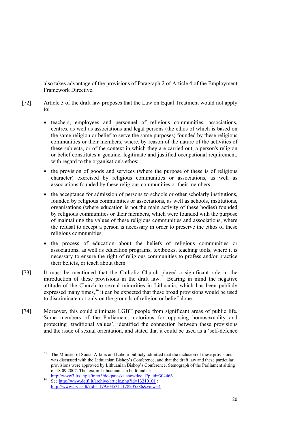also takes advantage of the provisions of Paragraph 2 of Article 4 of the Employment Framework Directive.

- [72]. Article 3 of the draft law proposes that the Law on Equal Treatment would not apply to:
	- teachers, employees and personnel of religious communities, associations, centres, as well as associations and legal persons (the ethos of which is based on the same religion or belief to serve the same purposes) founded by these religious communities or their members, where, by reason of the nature of the activities of these subjects, or of the context in which they are carried out, a person's religion or belief constitutes a genuine, legitimate and justified occupational requirement, with regard to the organisation's ethos;
	- the provision of goods and services (where the purpose of these is of religious character) exercised by religious communities or associations, as well as associations founded by these religious communities or their members;
	- the acceptance for admission of persons to schools or other scholarly institutions, founded by religious communities or associations, as well as schools, institutions, organisations (where education is not the main activity of these bodies) founded by religious communities or their members, which were founded with the purpose of maintaining the values of these religious communities and associations, where the refusal to accept a person is necessary in order to preserve the ethos of these religious communities;
	- the process of education about the beliefs of religious communities or associations, as well as education programs, textbooks, teaching tools, where it is necessary to ensure the right of religious communities to profess and/or practice their beliefs, or teach about them.
- [73]. It must be mentioned that the Catholic Church played a significant role in the introduction of these provisions in the draft law.<sup>33</sup> Bearing in mind the negative attitude of the Church to sexual minorities in Lithuania, which has been publicly expressed many times, $34$  it can be expected that these broad provisions would be used to discriminate not only on the grounds of religion or belief alone.
- [74]. Moreover, this could eliminate LGBT people from significant areas of public life. Some members of the Parliament, notorious for opposing homosexuality and protecting 'traditional values', identified the connection between these provisions and the issue of sexual orientation, and stated that it could be used as a 'self-defence

<sup>&</sup>lt;sup>33</sup> The Minister of Social Affairs and Labour publicly admitted that the inclusion of these provisions was discussed with the Lithuanian Bishop's Conference, and that the draft law and these particular provisions were approved by Lithuanian Bishop's Conference. Stenograph of the Parliament sitting of 18.09.2007. The text in Lithuanian can be found at:

http://www3.lrs.lt/pls/inter3/dokpaieska.showdoc\_l?p\_id=304466<br>See http://www.delfi.lt/archive/article.php?id=13210101 ; http://www.lrytas.lt/?id=11795035311178205586&view=4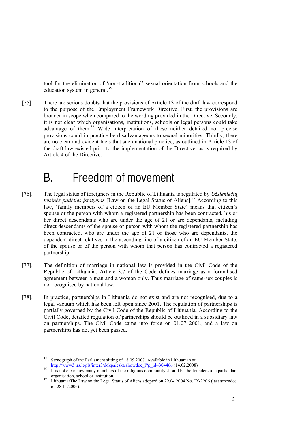tool for the elimination of 'non-traditional' sexual orientation from schools and the education system in general. $35$ 

[75]. There are serious doubts that the provisions of Article 13 of the draft law correspond to the purpose of the Employment Framework Directive. First, the provisions are broader in scope when compared to the wording provided in the Directive. Secondly, it is not clear which organisations, institutions, schools or legal persons could take advantage of them.<sup>36</sup> Wide interpretation of these neither detailed nor precise provisions could in practice be disadvantageous to sexual minorities. Thirdly, there are no clear and evident facts that such national practice, as outlined in Article 13 of the draft law existed prior to the implementation of the Directive, as is required by Article 4 of the Directive.

## B. Freedom of movement

- [76]. The legal status of foreigners in the Republic of Lithuania is regulated by *Užsieniečių teisinės padėties įstatymas* [Law on the Legal Status of Aliens].37 According to this law, 'family members of a citizen of an EU Member State' means that citizen's spouse or the person with whom a registered partnership has been contracted, his or her direct descendants who are under the age of 21 or are dependants, including direct descendants of the spouse or person with whom the registered partnership has been contracted, who are under the age of 21 or those who are dependants, the dependent direct relatives in the ascending line of a citizen of an EU Member State, of the spouse or of the person with whom that person has contracted a registered partnership.
- [77]. The definition of marriage in national law is provided in the Civil Code of the Republic of Lithuania. Article 3.7 of the Code defines marriage as a formalised agreement between a man and a woman only. Thus marriage of same-sex couples is not recognised by national law.
- [78]. In practice, partnerships in Lithuania do not exist and are not recognised, due to a legal vacuum which has been left open since 2001. The regulation of partnerships is partially governed by the Civil Code of the Republic of Lithuania. According to the Civil Code, detailed regulation of partnerships should be outlined in a subsidiary law on partnerships. The Civil Code came into force on 01.07 2001, and a law on partnerships has not yet been passed.

<sup>&</sup>lt;sup>35</sup> Stenograph of the Parliament sitting of 18.09.2007. Available in Lithuanian at

http://www3.lrs.lt/pls/inter3/dokpaieska.showdoc\_l?p\_id=304466 (14.02.2008) It is not clear how many members of the religious community should be the founders of a particular organisation, school or institution.<br>37 Lithuania/The Law on the Legal Status of Aliens adopted on 29.04.2004 No. IX-2206 (last amended

on 28.11.2006).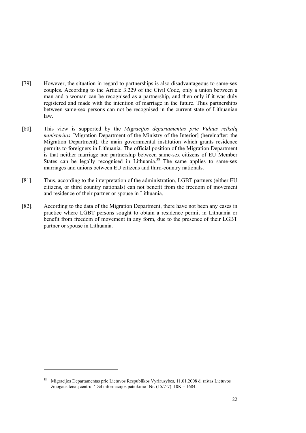- [79]. However, the situation in regard to partnerships is also disadvantageous to same-sex couples. According to the Article 3.229 of the Civil Code, only a union between a man and a woman can be recognised as a partnership, and then only if it was duly registered and made with the intention of marriage in the future. Thus partnerships between same-sex persons can not be recognised in the current state of Lithuanian law.
- [80]. This view is supported by the *Migracijos departamentas prie Vidaus reikalų ministerijos* [Migration Department of the Ministry of the Interior] (hereinafter: the Migration Department), the main governmental institution which grants residence permits to foreigners in Lithuania. The official position of the Migration Department is that neither marriage nor partnership between same-sex citizens of EU Member States can be legally recognised in Lithuania.<sup>38</sup> The same applies to same-sex marriages and unions between EU citizens and third-country nationals.
- [81]. Thus, according to the interpretation of the administration, LGBT partners (either EU citizens, or third country nationals) can not benefit from the freedom of movement and residence of their partner or spouse in Lithuania.
- [82]. According to the data of the Migration Department, there have not been any cases in practice where LGBT persons sought to obtain a residence permit in Lithuania or benefit from freedom of movement in any form, due to the presence of their LGBT partner or spouse in Lithuania.

-

<sup>38</sup> Migracijos Departamentas prie Lietuvos Respublikos Vyriausybės, 11.01.2008 d. raštas Lietuvos žmogaus teisių centrui 'Dėl informacijos pateikimo' Nr. (15/7-7) 10K – 1684.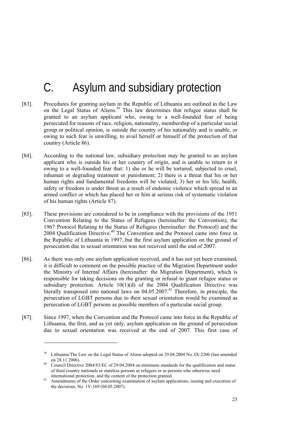# C. Asylum and subsidiary protection

- [83]. Procedures for granting asylum in the Republic of Lithuania are outlined in the Law on the Legal Status of Aliens.<sup>39</sup> This law determines that refugee status shall be granted to an asylum applicant who, owing to a well-founded fear of being persecuted for reasons of race, religion, nationality, membership of a particular social group or political opinion, is outside the country of his nationality and is unable, or owing to such fear is unwilling, to avail herself or himself of the protection of that country (Article 86).
- [84]. According to the national law, subsidiary protection may be granted to an asylum applicant who is outside his or her country of origin, and is unable to return to it owing to a well-founded fear that: 1) she or he will be tortured, subjected to cruel, inhuman or degrading treatment or punishment; 2) there is a threat that his or her human rights and fundamental freedoms will be violated; 3) her or his life, health, safety or freedom is under threat as a result of endemic violence which spread in an armed conflict or which has placed her or him at serious risk of systematic violation of his human rights (Article 87).
- [85]. These provisions are considered to be in compliance with the provisions of the 1951 Convention Relating to the Status of Refugees (hereinafter: the Convention), the 1967 Protocol Relating to the Status of Refugees (hereinafter: the Protocol) and the 2004 Qualification Directive.<sup>40</sup> The Convention and the Protocol came into force in the Republic of Lithuania in 1997, but the first asylum application on the ground of persecution due to sexual orientation was not received until the end of 2007.
- [86]. As there was only one asylum application received, and it has not yet been examined, it is difficult to comment on the possible practice of the Migration Department under the Ministry of Internal Affairs (hereinafter: the Migration Department), which is responsible for taking decisions on the granting or refusal to grant refugee status or subsidiary protection. Article  $10(1)(d)$  of the 2004 Qualification Directive was literally transposed into national laws on 04.05.2007.<sup>41</sup> Therefore, in principle, the persecution of LGBT persons due to their sexual orientation would be examined as persecution of LGBT persons as possible members of a particular social group.
- [87]. Since 1997, when the Convention and the Protocol came into force in the Republic of Lithuania, the first, and as yet only, asylum application on the ground of persecution due to sexual orientation was received at the end of 2007. This first case of

<sup>&</sup>lt;sup>39</sup> Lithuania/The Law on the Legal Status of Aliens adopted on 29.04.2004 No. IX-2206 (last amended on  $28.11.2006$ ).

Council Directive 2004/83/EC of 29.04.2004 on minimum standards for the qualification and status of third country nationals or stateless persons as refugees or as persons who otherwise need

Amendments of the Order concerning examination of asylum applications, issuing and execution of the decisions, No. 1V-169 (04.05.2007).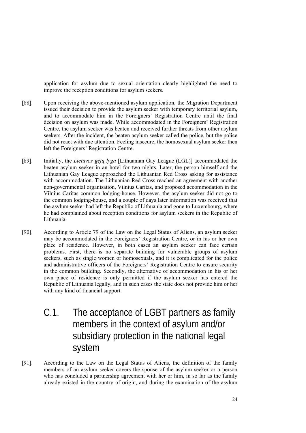application for asylum due to sexual orientation clearly highlighted the need to improve the reception conditions for asylum seekers.

- [88]. Upon receiving the above-mentioned asylum application, the Migration Department issued their decision to provide the asylum seeker with temporary territorial asylum, and to accommodate him in the Foreigners' Registration Centre until the final decision on asylum was made. While accommodated in the Foreigners' Registration Centre, the asylum seeker was beaten and received further threats from other asylum seekers. After the incident, the beaten asylum seeker called the police, but the police did not react with due attention. Feeling insecure, the homosexual asylum seeker then left the Foreigners' Registration Centre.
- [89]. Initially, the *Lietuvos gėjų lyga* [Lithuanian Gay League (LGL)] accommodated the beaten asylum seeker in an hotel for two nights. Later, the person himself and the Lithuanian Gay League approached the Lithuanian Red Cross asking for assistance with accommodation. The Lithuanian Red Cross reached an agreement with another non-governmental organisation, Vilnius Caritas, and proposed accommodation in the Vilnius Caritas common lodging-house. However, the asylum seeker did not go to the common lodging-house, and a couple of days later information was received that the asylum seeker had left the Republic of Lithuania and gone to Luxembourg, where he had complained about reception conditions for asylum seekers in the Republic of Lithuania.
- [90]. According to Article 79 of the Law on the Legal Status of Aliens, an asylum seeker may be accommodated in the Foreigners' Registration Centre, or in his or her own place of residence. However, in both cases an asylum seeker can face certain problems. First, there is no separate building for vulnerable groups of asylum seekers, such as single women or homosexuals, and it is complicated for the police and administrative officers of the Foreigners' Registration Centre to ensure security in the common building. Secondly, the alternative of accommodation in his or her own place of residence is only permitted if the asylum seeker has entered the Republic of Lithuania legally, and in such cases the state does not provide him or her with any kind of financial support.
	- C.1. The acceptance of LGBT partners as family members in the context of asylum and/or subsidiary protection in the national legal system
- [91]. According to the Law on the Legal Status of Aliens, the definition of the family members of an asylum seeker covers the spouse of the asylum seeker or a person who has concluded a partnership agreement with her or him, in so far as the family already existed in the country of origin, and during the examination of the asylum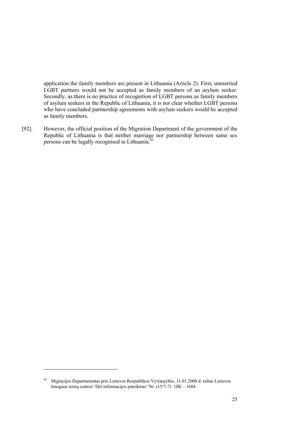application the family members are present in Lithuania (Article 2). First, unmarried LGBT partners would not be accepted as family members of an asylum seeker. Secondly, as there is no practice of recognition of LGBT persons as family members of asylum seekers in the Republic of Lithuania, it is not clear whether LGBT persons who have concluded partnership agreements with asylum seekers would be accepted as family members.

[92]. However, the official position of the Migration Department of the government of the Republic of Lithuania is that neither marriage nor partnership between same sex persons can be legally recognised in Lithuania.<sup>42</sup>

-

<sup>42</sup> Migracijos Departamentas prie Lietuvos Respublikos Vyriausybės, 11.01.2008 d. raštas Lietuvos žmogaus teisių centrui 'Dėl informacijos pateikimo' Nr. (15/7-7) 10K – 1684.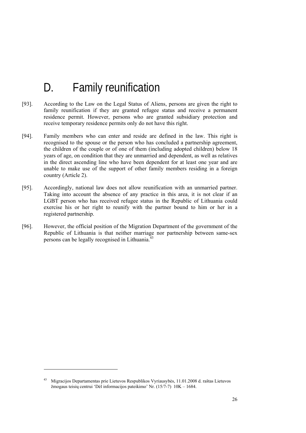# D. Family reunification

- [93]. According to the Law on the Legal Status of Aliens, persons are given the right to family reunification if they are granted refugee status and receive a permanent residence permit. However, persons who are granted subsidiary protection and receive temporary residence permits only do not have this right.
- [94]. Family members who can enter and reside are defined in the law. This right is recognised to the spouse or the person who has concluded a partnership agreement, the children of the couple or of one of them (including adopted children) below 18 years of age, on condition that they are unmarried and dependent, as well as relatives in the direct ascending line who have been dependent for at least one year and are unable to make use of the support of other family members residing in a foreign country (Article 2).
- [95]. Accordingly, national law does not allow reunification with an unmarried partner. Taking into account the absence of any practice in this area, it is not clear if an LGBT person who has received refugee status in the Republic of Lithuania could exercise his or her right to reunify with the partner bound to him or her in a registered partnership.
- [96]. However, the official position of the Migration Department of the government of the Republic of Lithuania is that neither marriage nor partnership between same-sex persons can be legally recognised in Lithuania. $43$

-

<sup>43</sup> Migracijos Departamentas prie Lietuvos Respublikos Vyriausybės, 11.01.2008 d. raštas Lietuvos žmogaus teisių centrui 'Dėl informacijos pateikimo' Nr. (15/7-7) 10K – 1684.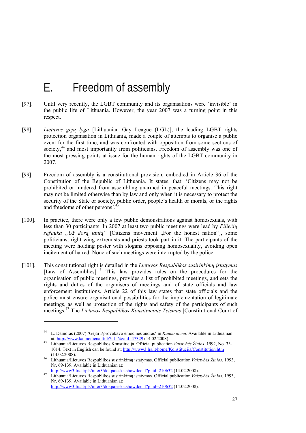## E. Freedom of assembly

- [97]. Until very recently, the LGBT community and its organisations were 'invisible' in the public life of Lithuania. However, the year 2007 was a turning point in this respect.
- [98]. *Lietuvos gėjų lyga* [Lithuanian Gay League (LGL)], the leading LGBT rights protection organisation in Lithuania, made a couple of attempts to organise a public event for the first time, and was confronted with opposition from some sections of society,<sup>44</sup> and most importantly from politicians. Freedom of assembly was one of the most pressing points at issue for the human rights of the LGBT community in 2007.
- [99]. Freedom of assembly is a constitutional provision, embodied in Article 36 of the Constitution of the Republic of Lithuania. It states, that: 'Citizens may not be prohibited or hindered from assembling unarmed in peaceful meetings. This right may not be limited otherwise than by law and only when it is necessary to protect the security of the State or society, public order, people's health or morals, or the rights and freedoms of other persons'.
- [100]. In practice, there were only a few public demonstrations against homosexuals, with less than 30 participants. In 2007 at least two public meetings were lead by *Piliečių sąšauka* "Už dorą *tautą*" [Citizens movement "For the honest nation"], some politicians, right wing extremists and priests took part in it. The participants of the meeting were holding poster with slogans opposing homosexuality, avoiding open incitement of hatred. None of such meetings were interrupted by the police.
- [101]. This constitutional right is detailed in the *Lietuvos Respublikos susirinkimų įstatymas* [Law of Assemblies].<sup>46</sup> This law provides rules on the procedures for the organisation of public meetings, provides a list of prohibited meetings, and sets the rights and duties of the organisers of meetings and of state officials and law enforcement institutions. Article 22 of this law states that state officials and the police must ensure organisational possibilities for the implementation of legitimate meetings, as well as protection of the rights and safety of the participants of such meetings.47 The *Lietuvos Respublikos Konstitucinis Teismas* [Constitutional Court of

<sup>44</sup> L. Dainoras (2007) 'Gėjai išprovokavo emocines audras' in *Kauno diena*. Available in Lithuanian at: http://www.kaunodiena.lt/lt/?id=6&aid=47329 (14.02.2008). 45 Lithuania/Lietuvos Respublikos Konstitucija. Official publication *Valstybės Žinios*, 1992, No. 33-

<sup>1014.</sup> Text in English can be found at: http://www3.lrs.lt/home/Konstitucija/Constitution.htm

<sup>(14.02.2008). 46</sup> Lithuania/Lietuvos Respublikos susirinkim<sup>ų</sup> <sup>į</sup>statymas. Official publication *Valstybės Žinios*, 1993, Nr. 69-139. Available in Lithuanian at:

http://www3.lrs.lt/pls/inter3/dokpaieska.showdoc\_l?p\_id=210632 (14.02.2008). 47 Lithuania/Lietuvos Respublikos susirinkim<sup>ų</sup> <sup>į</sup>statymas. Official publication *Valstybės Žinios*, 1993, Nr. 69-139. Available in Lithuanian at:

http://www3.lrs.lt/pls/inter3/dokpaieska.showdoc\_l?p\_id=210632 (14.02.2008).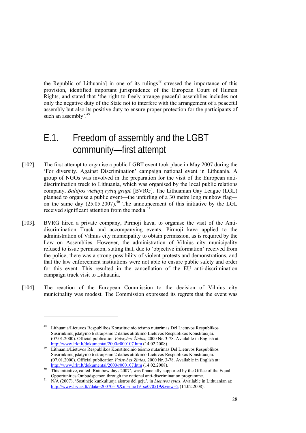the Republic of Lithuania] in one of its rulings<sup>48</sup> stressed the importance of this provision, identified important jurisprudence of the European Court of Human Rights, and stated that 'the right to freely arrange peaceful assemblies includes not only the negative duty of the State not to interfere with the arrangement of a peaceful assembly but also its positive duty to ensure proper protection for the participants of such an assembly'.<sup>49</sup>

## E.1. Freedom of assembly and the LGBT community—first attempt

- [102]. The first attempt to organise a public LGBT event took place in May 2007 during the 'For diversity. Against Discrimination' campaign national event in Lithuania. A group of NGOs was involved in the preparation for the visit of the European antidiscrimination truck to Lithuania, which was organised by the local public relations company, *Baltijos viešųjų ryšių grupė* [BVRG]. The Lithuanian Gay League (LGL) planned to organise a public event—the unfurling of a 30 metre long rainbow flag on the same day  $(25.05.2007)$ .<sup>50</sup> The announcement of this initiative by the LGL received significant attention from the media.<sup>51</sup>
- [103]. BVRG hired a private company, Pirmoji kava, to organise the visit of the Antidiscrimination Truck and accompanying events. Pirmoji kava applied to the administration of Vilnius city municipality to obtain permission, as is required by the Law on Assemblies. However, the administration of Vilnius city municipality refused to issue permission, stating that, due to 'objective information' received from the police, there was a strong possibility of violent protests and demonstrations, and that the law enforcement institutions were not able to ensure public safety and order for this event. This resulted in the cancellation of the EU anti-discrimination campaign truck visit to Lithuania.
- [104]. The reaction of the European Commission to the decision of Vilnius city municipality was modest. The Commission expressed its regrets that the event was

<sup>48</sup> Lithuania/Lietuvos Respublikos Konstitucinio teismo nutarimas Dėl Lietuvos Respublikos Susirinkimų įstatymo 6 straipsnio 2 dalies atitikimo Lietuvos Respublikos Konstitucijai. (07.01.2000). Official publication *Valstybės Žinios*, 2000 Nr. 3-78. Available in English at: http://www.lrkt.lt/dokumentai/2000/r000107.htm (14.02.2008).<br>19 Lithuania/Lietuvos Respublikos Konstitucinio teismo nutarimas Dėl Lietuvos Respublikos

Susirinkimų įstatymo 6 straipsnio 2 dalies atitikimo Lietuvos Respublikos Konstitucijai. (07.01.2000). Official publication *Valstybės Žinios*, 2000 Nr. 3-78. Available in English at:

 $\frac{\text{http://www.lrkt.lt/dokumentai/2000/r000107.htm}}{\text{This initiative, called 'Rainbow days 2007', was financially supported by the Office of the Equal?}$ 

Opportunities Ombudsperson through the national anti-discrimination programme. 51 N/A (2007), 'Sostinėje kunkuliuoja aistros dėl gėjų', in *Lietuvos rytas*. Available in Lithuanian at: http://www.lrytas.lt/?data=20070519&id=nuo19\_so070519&view=2 (14.02.2008).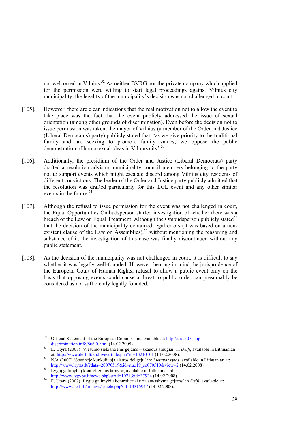not welcomed in Vilnius.<sup>52</sup> As neither BVRG nor the private company which applied for the permission were willing to start legal proceedings against Vilnius city municipality, the legality of the municipality's decision was not challenged in court.

- [105]. However, there are clear indications that the real motivation not to allow the event to take place was the fact that the event publicly addressed the issue of sexual orientation (among other grounds of discrimination). Even before the decision not to issue permission was taken, the mayor of Vilnius (a member of the Order and Justice (Liberal Democrats) party) publicly stated that, 'as we give priority to the traditional family and are seeking to promote family values, we oppose the public demonstration of homosexual ideas in Vilnius city'.<sup>53</sup>
- [106]. Additionally, the presidium of the Order and Justice (Liberal Democrats) party drafted a resolution advising municipality council members belonging to the party not to support events which might escalate discord among Vilnius city residents of different convictions. The leader of the Order and Justice party publicly admitted that the resolution was drafted particularly for this LGL event and any other similar events in the future.<sup>54</sup>
- [107]. Although the refusal to issue permission for the event was not challenged in court, the Equal Opportunities Ombudsperson started investigation of whether there was a breach of the Law on Equal Treatment. Although the Ombudsperson publicly stated<sup>55</sup> that the decision of the municipality contained legal errors (it was based on a nonexistent clause of the Law on Assemblies),<sup>56</sup> without mentioning the reasoning and substance of it, the investigation of this case was finally discontinued without any public statement.
- [108]. As the decision of the municipality was not challenged in court, it is difficult to say whether it was legally well-founded. However, bearing in mind the jurisprudence of the European Court of Human Rights, refusal to allow a public event only on the basis that opposing events could cause a threat to public order can presumably be considered as not sufficiently legally founded.

-

<sup>52</sup> Official Statement of the European Commission, available at: http://truck07.stop-

discrimination.info/866.0.html (14.02.2008). 53 E. Utyra (2007) 'Viešumo siekiantiems gėjams – skaudūs smūgiai' in *Delfi*, available in Lithuanian

at: http://www.delfi.lt/archive/article.php?id=13210101 (14.02.2008). 54 N/A (2007) 'Sostinėje kunkuliuoja aistros dėl gėjų' in: *Lietuvos rytas*, available in Lithuanian at:

http://www.lrytas.lt/?data=20070519&id=nuo19\_so070519&view=2 (14.02.2008).<br>Lygių galimybių kontrolieriaus tarnyba, available in Lithuanian at:<br>http://www.lygybe.lt/news.php?strid=1071&id=37924 (14.02.2008)

E. Utyra (2007) 'Lygių galimybių kontrolieriai tiria atwsakymą gėjams' in *Delfi*, available at: http://www.delfi.lt/archive/article.php?id=13315947 (14.02.2008).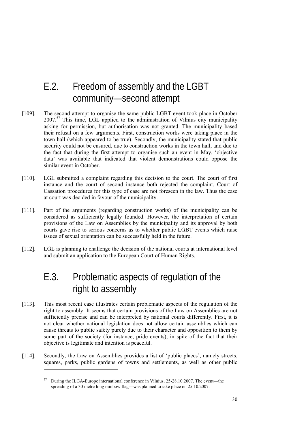## E.2. Freedom of assembly and the LGBT community—second attempt

- [109]. The second attempt to organise the same public LGBT event took place in October 2007.57 This time, LGL applied to the administration of Vilnius city municipality asking for permission, but authorisation was not granted. The municipality based their refusal on a few arguments. First, construction works were taking place in the town hall (which appeared to be true). Secondly, the municipality stated that public security could not be ensured, due to construction works in the town hall, and due to the fact that during the first attempt to organise such an event in May, 'objective data' was available that indicated that violent demonstrations could oppose the similar event in October.
- [110]. LGL submitted a complaint regarding this decision to the court. The court of first instance and the court of second instance both rejected the complaint. Court of Cassation procedures for this type of case are not foreseen in the law. Thus the case at court was decided in favour of the municipality.
- [111]. Part of the arguments (regarding construction works) of the municipality can be considered as sufficiently legally founded. However, the interpretation of certain provisions of the Law on Assemblies by the municipality and its approval by both courts gave rise to serious concerns as to whether public LGBT events which raise issues of sexual orientation can be successfully held in the future.
- [112]. LGL is planning to challenge the decision of the national courts at international level and submit an application to the European Court of Human Rights.

## E.3. Problematic aspects of regulation of the right to assembly

- [113]. This most recent case illustrates certain problematic aspects of the regulation of the right to assembly. It seems that certain provisions of the Law on Assemblies are not sufficiently precise and can be interpreted by national courts differently. First, it is not clear whether national legislation does not allow certain assemblies which can cause threats to public safety purely due to their character and opposition to them by some part of the society (for instance, pride events), in spite of the fact that their objective is legitimate and intention is peaceful.
- [114]. Secondly, the Law on Assemblies provides a list of 'public places', namely streets, squares, parks, public gardens of towns and settlements, as well as other public

-

<sup>57</sup> During the ILGA-Europe international conference in Vilnius, 25-28.10.2007. The event—the spreading of a 30 metre long rainbow flag—was planned to take place on 25.10.2007.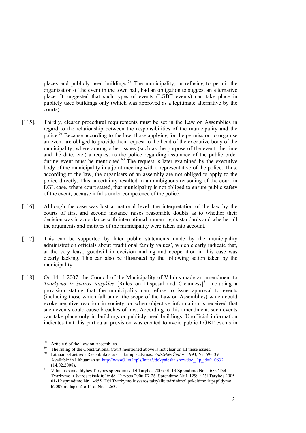places and publicly used buildings.<sup>58</sup> The municipality, in refusing to permit the organisation of the event in the town hall, had an obligation to suggest an alternative place. It suggested that such types of events (LGBT events) can take place in publicly used buildings only (which was approved as a legitimate alternative by the courts).

- [115]. Thirdly, clearer procedural requirements must be set in the Law on Assemblies in regard to the relationship between the responsibilities of the municipality and the police.59 Because according to the law, those applying for the permission to organise an event are obliged to provide their request to the head of the executive body of the municipality, where among other issues (such as the purpose of the event, the time and the date, etc.) a request to the police regarding assurance of the public order during event must be mentioned. $60$  The request is later examined by the executive body of the municipality in a joint meeting with a representative of the police. Thus, according to the law, the organisers of an assembly are not obliged to apply to the police directly. This uncertainty resulted in an ambiguous reasoning of the court in LGL case, where court stated, that municipality is not obliged to ensure public safety of the event, because it falls under competence of the police.
- [116]. Although the case was lost at national level, the interpretation of the law by the courts of first and second instance raises reasonable doubts as to whether their decision was in accordance with international human rights standards and whether all the arguments and motives of the municipality were taken into account.
- [117]. This can be supported by later public statements made by the municipality administration officials about 'traditional family values', which clearly indicate that, at the very least, goodwill in decision making and cooperation in this case was clearly lacking. This can also be illustrated by the following action taken by the municipality.
- [118]. On 14.11.2007, the Council of the Municipality of Vilnius made an amendment to *Tvarkymo ir švaros taisyklės* [Rules on Disposal and Cleanness]<sup>61</sup> including a provision stating that the municipality can refuse to issue approval to events (including those which fall under the scope of the Law on Assemblies) which could evoke negative reaction in society, or when objective information is received that such events could cause breaches of law. According to this amendment, such events can take place only in buildings or publicly used buildings. Unofficial information indicates that this particular provision was created to avoid public LGBT events in

<sup>&</sup>lt;sup>58</sup> Article 6 of the Law on Assemblies.

<sup>59</sup> The ruling of the Constitutional Court mentioned above is not clear on all these issues. 60 Lithuania/Lietuvos Respublikos susirinkim<sup>ų</sup> <sup>į</sup>statymas. *Valstybės Žinios*, 1993, Nr. 69-139. Available in Lithuanian at: http://www3.lrs.lt/pls/inter3/dokpaieska.showdoc\_l?p\_id=210632

<sup>(14.02.2008). 61</sup> Vilniaus savivaldybės Tarybos sprendimas dėl Tarybos 2005-01-19 Sprendimo Nr. 1-655 'Dė<sup>l</sup> Tvarkymo ir švaros taisyklių' ir dėl Tarybos 2006-07-26 Sprendimo Nr.1-1299 'Dėl Tarybos 2005- 01-19 sprendimo Nr. 1-655 'Dėl Tvarkymo ir švaros taisyklių tvirtinimo' pakeitimo ir papildymo. b2007 m. lapkričio 14 d. Nr. 1-263.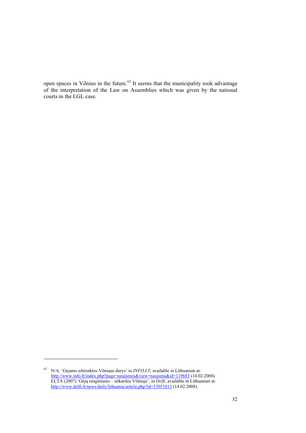open spaces in Vilnius in the future.<sup>62</sup> It seems that the municipality took advantage of the interpretation of the Law on Assemblies which was given by the national courts in the LGL case.

<sup>62</sup> N/A, 'Gėjams užtrenktos Vilniaus durys' in *INFO.LT*, available in Lithuanian at: http://www.info.lt/index.php?page=naujienos&view=naujiena&id=119683 (14.02.2008) ELTA (2007) 'Gėjų renginiams – užkardos Vilniuje', in *Delfi*, available in Lithuanian at: http://www.delfi.lt/news/daily/lithuania/article.php?id=15051813 (14.02.2008).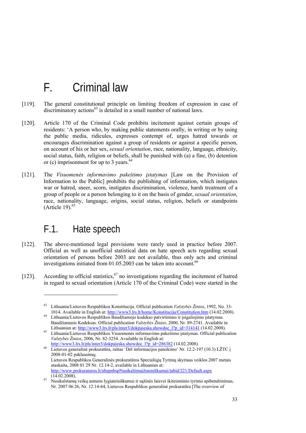## F. Criminal law

- [119]. The general constitutional principle on limiting freedom of expression in case of  $dis$ ciminatory actions<sup>63</sup> is detailed in a small number of national laws.
- [120]. Article 170 of the Criminal Code prohibits incitement against certain groups of residents: 'A person who, by making public statements orally, in writing or by using the public media, ridicules, expresses contempt of, urges hatred towards or encourages discrimination against a group of residents or against a specific person, on account of his or her sex, *sexual orientation*, race, nationality, language, ethnicity, social status, faith, religion or beliefs, shall be punished with (a) a fine, (b) detention or (c) imprisonment for up to 3 years. $64$
- [121]. The *Visuomenės informavimo pakeitimo įstatymas* [Law on the Provision of Information to the Public] prohibits the publishing of information, which instigates war or hatred, sneer, scorn, instigates discrimination, violence, harsh treatment of a group of people or a person belonging to it on the basis of gender, *sexual orientation*, race, nationality, language, origins, social status, religion, beliefs or standpoints (Article 19). $65$

### F.1. Hate speech

- [122]. The above-mentioned legal provisions were rarely used in practice before 2007. Official as well as unofficial statistical data on hate speech acts regarding sexual orientation of persons before 2003 are not available, thus only acts and criminal investigations initiated from  $01.05.2003$  can be taken into account.<sup>66</sup>
- [123]. According to official statistics,  $67$  no investigations regarding the incitement of hatred in regard to sexual orientation (Article 170 of the Criminal Code) were started in the

<sup>63</sup> Lithuania/Lietuvos Respublikos Konstitucija. Official publication *Valstybės Žinios*, 1992, No. 33-

Lithuania/Lietuvos Respublikos Baudžiamojo kodekso patvirtinimo ir įsigaliojimo įstatymas. Baudžiamasis Kodeksas. Official publication *Valstybės Žinios*, 2000, Nr. 89-2741. Available in

Lithuanian at: http://www3.lrs.lt/pls/inter3/dokpaieska.showdoc\_l?p\_id=314141 (14.02.2008).<br><sup>65</sup> Lithuania/Lietuvos Respublikos Visuomenės informavimo pakeitimo įstatymas. Official publication *Valstybės Žinios*, 2006, Nr. 82-3254. Available in English at:

http://www3.lrs.lt/pls/inter3/dokpaieska.showdoc\_l?p\_id=286382 (14.02.2008).<br><sup>66</sup> Lietuvos generalinė prokuratūra, raštas 'Dėl informacijos pateikimo' Nr. 12.2-197 (10.3) LŽTC į 2008-01-02 paklausimą; Lietuvos Respublikos Generalinės prokuratūros Specialiųjų Tyrimų skyriaus veiklos 2007 metais ataskaita, 2008 01 29 Nr. 12.14-2, available in Lithuanian at: http://www.prokuraturos.lt/nbspnbspNusikaltimaižmoniškumui/tabid/221/Default.aspx

<sup>(14.02.2008). 67</sup> Nusikalstamų veikų asmens lygiateisiškumui ir sąžinės laisvei ikiteisminio tyrimo apibendrinimas, Nr. 2007 06 26, Nr. 12.14-64, Lietuvos Respublikos generalinė prokuratūra [The overview of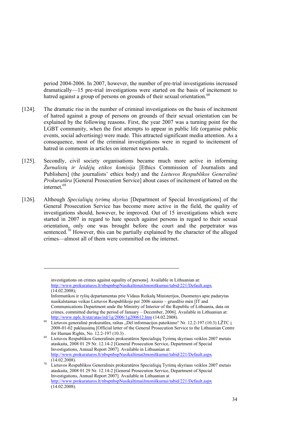period 2004-2006. In 2007, however, the number of pre-trial investigations increased dramatically—15 pre-trial investigations were started on the basis of incitement to hatred against a group of persons on grounds of their sexual orientation.<sup>68</sup>

- [124]. The dramatic rise in the number of criminal investigations on the basis of incitement of hatred against a group of persons on grounds of their sexual orientation can be explained by the following reasons. First, the year 2007 was a turning point for the LGBT community, when the first attempts to appear in public life (organise public events, social advertising) were made. This attracted significant media attention. As a consequence, most of the criminal investigations were in regard to incitement of hatred in comments in articles on internet news portals.
- [125]. Secondly, civil society organisations became much more active in informing *Žurnalistų ir leidėjų etikos komisija* [Ethics Commission of Journalists and Publishers] (the journalists' ethics body) and the *Lietuvos Respublikos Generalinė Prokuratūra* [General Prosecution Service] about cases of incitement of hatred on the internet.<sup>69</sup>
- [126]. Although *Specialiųjų tyrimų skyrius* [Department of Special Investigations] of the General Prosecution Service has become more active in the field, the quality of investigations should, however, be improved. Out of 15 investigations which were started in 2007 in regard to hate speech against persons in regard to their sexual orientation, only one was brought before the court and the perpetrator was sentenced.<sup>70</sup> However, this can be partially explained by the character of the alleged crimes—almost all of them were committed on the internet.

investigations on crimes against equality of persons]. Available in Lithuanian at: http://www.prokuraturos.lt/nbspnbspNusikaltimaižmoniškumui/tabid/221/Default.aspx (14.02.2008);

Informatikos ir ryšių departamentas prie Vidaus Reikalų Ministerijos, Duomenys apie padarytas nusikalstamas veikas Lietuvos Respublikoje per 2006 sausio – gruodžio mėn [IT and Communications Department unde the Ministry of Interior of the Republic of Lithuania, data on crimes, committed during the period of January – December, 2006]. Available in Lithuanian at:<br>http://www.nplc.lt/stat/atas/ird/1g/2006/1g200612.htm (14.02.2008).

<sup>&</sup>lt;sup>68</sup> Lietuvos generalinė prokuratūra, raštas "Dėl informacijos pateikimo" Nr. 12.2-197 (10.3) LŽTC į 2008-01-02 paklausimą [Official letter of the General Prosecution Service to the Lithuanian Centre

for Human Rights, No. 12.2-197 (10.3) . 69 Lietuvos Respublikos Generalinės prokuratūros Specialiųjų Tyrimų skyriaus veiklos 2007 metais ataskaita, 2008 01 29 Nr. 12.14-2 [General Prosecution Service, Department of Special Investigations, Annual Report 2007]. Available in Lithuanian at: http://www.prokuraturos.lt/nbspnbspNusikaltimaižmoniškumui/tabid/221/Default.aspx

<sup>(14.02.2008). 70</sup> Lietuvos Respublikos Generalinės prokuratūros Specialiųjų Tyrimų skyriaus veiklos 2007 metais ataskaita, 2008 01 29 Nr. 12.14-2 [General Prosecution Service, Department of Special Investigations, Annual Report 2007]. Available in Lithuanian at http://www.prokuraturos.lt/nbspnbspNusikaltimaižmoniškumui/tabid/221/Default.aspx (14.02.2008).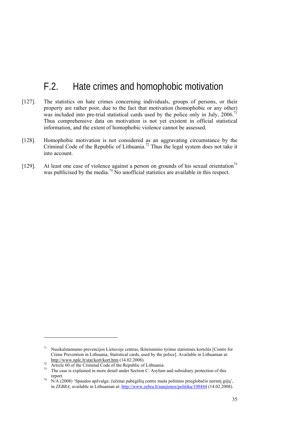## F.2. Hate crimes and homophobic motivation

- [127]. The statistics on hate crimes concerning individuals, groups of persons, or their property are rather poor, due to the fact that motivation (homophobic or any other) was included into pre-trial statistical cards used by the police only in July, 2006.<sup>71</sup> Thus comprehensive data on motivation is not yet existent in official statistical information, and the extent of homophobic violence cannot be assessed.
- [128]. Homophobic motivation is not considered as an aggravating circumstance by the Criminal Code of the Republic of Lithuania.<sup>72</sup> Thus the legal system does not take it into account.
- [129]. At least one case of violence against a person on grounds of his sexual orientation<sup>73</sup> was publicised by the media.<sup>74</sup> No unofficial statistics are available in this respect.

<sup>71</sup> Nusikalstamumo prevencijos Lietuvoje centras, Ikiteisminio tyrimo statistinės kortelės [Centre for Crime Prevention in Lithuania, Statistical cards, used by the police]. Available in Lithuanian at:<br>http://www.nplc.lt/stat/kort/kort.htm (14.02.2008).

 $\frac{m_1}{r^2}$  Article 60 of the Criminal Code of the Republic of Lithuania.<br><sup>73</sup> The case is explained in more detail under Section C. Asylum and subsidiary protection of this report. 74 N/A (2008) 'Spaudos apžvalga: čečėnai pabėgėlių centre muša politinio prieglobsčio norintį gėjų',

in *ZEBRA*, available in Lithuanian at: http://www.zebra.lt/naujienos/politika/108444 (14.02.2008).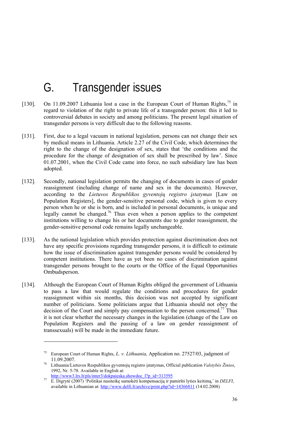# G. Transgender issues

- [130]. On 11.09.2007 Lithuania lost a case in the European Court of Human Rights,<sup>75</sup> in regard to violation of the right to private life of a transgender person: this it led to controversial debates in society and among politicians. The present legal situation of transgender persons is very difficult due to the following reasons.
- [131]. First, due to a legal vacuum in national legislation, persons can not change their sex by medical means in Lithuania. Article 2.27 of the Civil Code, which determines the right to the change of the designation of sex, states that 'the conditions and the procedure for the change of designation of sex shall be prescribed by law'. Since 01.07.2001, when the Civil Code came into force, no such subsidiary law has been adopted.
- [132]. Secondly, national legislation permits the changing of documents in cases of gender reassignment (including change of name and sex in the documents). However, according to the *Lietuvos Respublikos gyventojų registro įstatymas* [Law on Population Registers], the gender-sensitive personal code, which is given to every person when he or she is born, and is included in personal documents, is unique and legally cannot be changed.<sup>76</sup> Thus even when a person applies to the competent institutions willing to change his or her documents due to gender reassignment, the gender-sensitive personal code remains legally unchangeable.
- [133]. As the national legislation which provides protection against discrimination does not have any specific provisions regarding transgender persons, it is difficult to estimate how the issue of discrimination against transgender persons would be considered by competent institutions. There have as yet been no cases of discrimination against transgender persons brought to the courts or the Office of the Equal Opportunities Ombudsperson.
- [134]. Although the European Court of Human Rights obliged the government of Lithuania to pass a law that would regulate the conditions and procedures for gender reassignment within six months, this decision was not accepted by significant number of politicians. Some politicians argue that Lithuania should not obey the decision of the Court and simply pay compensation to the person concerned.<sup>77</sup> Thus it is not clear whether the necessary changes in the legislation (change of the Law on Population Registers and the passing of a law on gender reassignment of transsexuals) will be made in the immediate future.

<sup>75</sup> European Court of Human Rights, *L. v. Lithuania,* Application no. 27527/03, judgment of 11.09.2007. 76 Lithuania/Lietuvos Respublikos gyventojų registro įstatymas, Official publication *Valstybės Žinios*,

<sup>1992,</sup> Nr. 5-78. Available in English at:<br>http://www3.lrs.lt/pls/inter3/dokpaieska.showdoc\_l?p\_id=313595

http://www3.lrs.lt/pls/inter3/dokpaieska.showdoc\_l?p\_id=313595 77 E. Digrytė (2007) 'Politikai nusiteikę sumokėti kompensaciją ir pamiršti lyties keitimą,' in *DELFI*, available in Lithuanian at: http://www.delfi.lt/archive/print.php?id=14366811 (14.02.2008)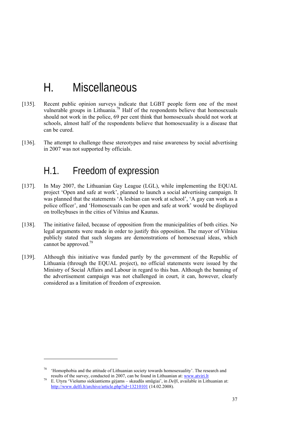# H. Miscellaneous

- [135]. Recent public opinion surveys indicate that LGBT people form one of the most vulnerable groups in Lithuania.<sup>78</sup> Half of the respondents believe that homosexuals should not work in the police, 69 per cent think that homosexuals should not work at schools, almost half of the respondents believe that homosexuality is a disease that can be cured.
- [136]. The attempt to challenge these stereotypes and raise awareness by social advertising in 2007 was not supported by officials.

### H.1. Freedom of expression

- [137]. In May 2007, the Lithuanian Gay League (LGL), while implementing the EQUAL project 'Open and safe at work', planned to launch a social advertising campaign. It was planned that the statements 'A lesbian can work at school', 'A gay can work as a police officer', and 'Homosexuals can be open and safe at work' would be displayed on trolleybuses in the cities of Vilnius and Kaunas.
- [138]. The initiative failed, because of opposition from the municipalities of both cities. No legal arguments were made in order to justify this opposition. The mayor of Vilnius publicly stated that such slogans are demonstrations of homosexual ideas, which cannot be approved.<sup>79</sup>
- [139]. Although this initiative was funded partly by the government of the Republic of Lithuania (through the EQUAL project), no official statements were issued by the Ministry of Social Affairs and Labour in regard to this ban. Although the banning of the advertisement campaign was not challenged in court, it can, however, clearly considered as a limitation of freedom of expression.

<sup>78 &#</sup>x27;Homophobia and the attitude of Lithuanian society towards homosexuality'. The research and

results of the survey, conducted in 2007, can be found in Lithuanian at: www.atviri.lt E. Utyra 'Viešumo siekiantiems gėjams – skaudūs smūgiai', in *Delfi*, available in Lithuanian at: http://www.delfi.lt/archive/article.php?id=13210101 (14.02.2008).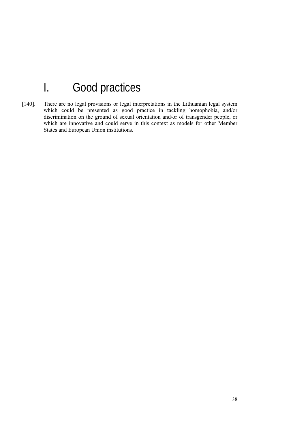# I. Good practices

[140]. There are no legal provisions or legal interpretations in the Lithuanian legal system which could be presented as good practice in tackling homophobia, and/or discrimination on the ground of sexual orientation and/or of transgender people, or which are innovative and could serve in this context as models for other Member States and European Union institutions.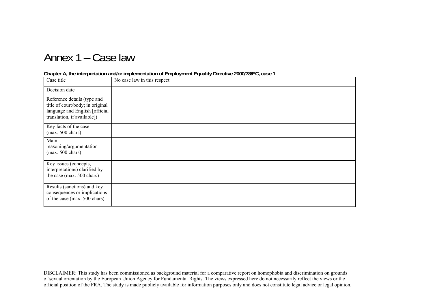## Annex 1 – Case law

#### **Chapter A, the interpretation and/or implementation of Employment Equality Directive 2000/78/EC, case 1**

| Case title                                                                                                                       | No case law in this respect |
|----------------------------------------------------------------------------------------------------------------------------------|-----------------------------|
| Decision date                                                                                                                    |                             |
| Reference details (type and<br>title of court/body; in original<br>language and English [official<br>translation, if available]) |                             |
| Key facts of the case<br>$(max. 500 \text{ chars})$                                                                              |                             |
| Main<br>reasoning/argumentation<br>$(max. 500 \text{ chars})$                                                                    |                             |
| Key issues (concepts,<br>interpretations) clarified by<br>the case (max. 500 chars)                                              |                             |
| Results (sanctions) and key<br>consequences or implications<br>of the case (max. 500 chars)                                      |                             |

DISCLAIMER: This study has been commissioned as background material for a comparative report on homophobia and discrimination on grounds of sexual orientation by the European Union Agency for Fundamental Rights. The views expressed here do not necessarily reflect the views or the official position of the FRA. The study is made publicly available for information purposes only and does not constitute legal advice or legal opinion.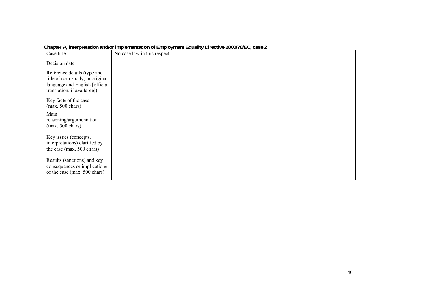| Case title                                                                                                                       | No case law in this respect |
|----------------------------------------------------------------------------------------------------------------------------------|-----------------------------|
| Decision date                                                                                                                    |                             |
| Reference details (type and<br>title of court/body; in original<br>language and English [official<br>translation, if available]) |                             |
| Key facts of the case<br>$(max. 500 \text{ chars})$                                                                              |                             |
| Main<br>reasoning/argumentation<br>$(max. 500 \text{ chars})$                                                                    |                             |
| Key issues (concepts,<br>interpretations) clarified by<br>the case (max. 500 chars)                                              |                             |
| Results (sanctions) and key<br>consequences or implications<br>of the case (max. 500 chars)                                      |                             |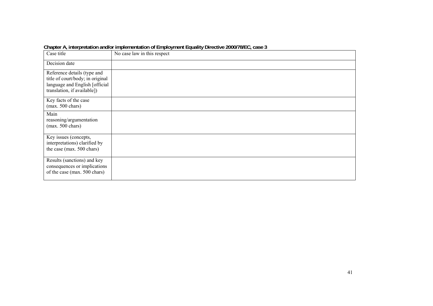| Case title                                                                                                                       | No case law in this respect |
|----------------------------------------------------------------------------------------------------------------------------------|-----------------------------|
| Decision date                                                                                                                    |                             |
| Reference details (type and<br>title of court/body; in original<br>language and English [official<br>translation, if available]) |                             |
| Key facts of the case<br>$(max. 500 \text{ chars})$                                                                              |                             |
| Main<br>reasoning/argumentation<br>$(max. 500 \text{ chars})$                                                                    |                             |
| Key issues (concepts,<br>interpretations) clarified by<br>the case (max. 500 chars)                                              |                             |
| Results (sanctions) and key<br>consequences or implications<br>of the case (max. 500 chars)                                      |                             |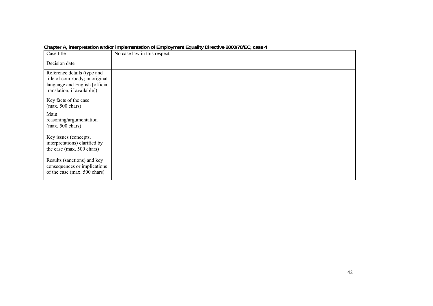| Case title                                                                                                                       | No case law in this respect |
|----------------------------------------------------------------------------------------------------------------------------------|-----------------------------|
| Decision date                                                                                                                    |                             |
| Reference details (type and<br>title of court/body; in original<br>language and English [official<br>translation, if available]) |                             |
| Key facts of the case<br>$(max. 500 \text{ chars})$                                                                              |                             |
| Main<br>reasoning/argumentation<br>$(max. 500 \text{ chars})$                                                                    |                             |
| Key issues (concepts,<br>interpretations) clarified by<br>the case (max. 500 chars)                                              |                             |
| Results (sanctions) and key<br>consequences or implications<br>of the case (max. 500 chars)                                      |                             |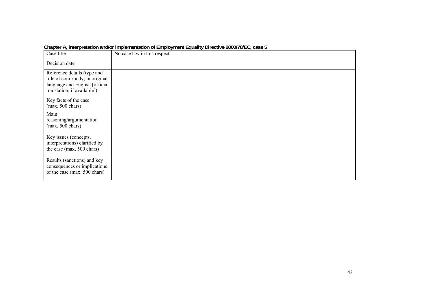| Case title                                                                                                                       | No case law in this respect |
|----------------------------------------------------------------------------------------------------------------------------------|-----------------------------|
| Decision date                                                                                                                    |                             |
| Reference details (type and<br>title of court/body; in original<br>language and English [official<br>translation, if available]) |                             |
| Key facts of the case<br>$(max. 500 \text{ chars})$                                                                              |                             |
| Main<br>reasoning/argumentation<br>$(max. 500 \text{ chars})$                                                                    |                             |
| Key issues (concepts,<br>interpretations) clarified by<br>the case (max. 500 chars)                                              |                             |
| Results (sanctions) and key<br>consequences or implications<br>of the case (max. 500 chars)                                      |                             |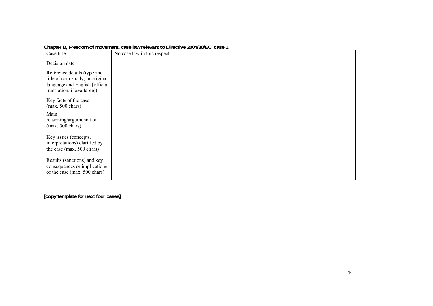| Case title                                                                                                                       | No case law in this respect |
|----------------------------------------------------------------------------------------------------------------------------------|-----------------------------|
| Decision date                                                                                                                    |                             |
| Reference details (type and<br>title of court/body; in original<br>language and English [official<br>translation, if available]) |                             |
| Key facts of the case<br>$(max. 500 \text{ chars})$                                                                              |                             |
| Main<br>reasoning/argumentation<br>$(max. 500 \text{ chars})$                                                                    |                             |
| Key issues (concepts,<br>interpretations) clarified by<br>the case (max. 500 chars)                                              |                             |
| Results (sanctions) and key<br>consequences or implications<br>of the case (max. 500 chars)                                      |                             |

**Chapter B, Freedom of movement, case law relevant to Directive 2004/38/EC, case 1**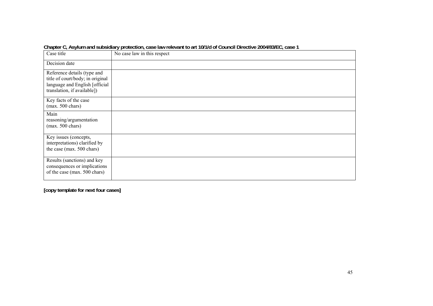|                                                                                                                                  | Unapiur U <sub>r</sub> Abylani and Sabsidiary protugation, casulaw ruuvant to art Torna or Godhur Diruutivu ZoomonEu <sub>r</sub> Gasul T |
|----------------------------------------------------------------------------------------------------------------------------------|-------------------------------------------------------------------------------------------------------------------------------------------|
| Case title                                                                                                                       | No case law in this respect                                                                                                               |
| Decision date                                                                                                                    |                                                                                                                                           |
| Reference details (type and<br>title of court/body; in original<br>language and English [official<br>translation, if available]) |                                                                                                                                           |
| Key facts of the case<br>$(max. 500 \text{ chars})$                                                                              |                                                                                                                                           |
| Main<br>reasoning/argumentation<br>$(max. 500 \text{ chars})$                                                                    |                                                                                                                                           |
| Key issues (concepts,<br>interpretations) clarified by<br>the case (max. 500 chars)                                              |                                                                                                                                           |
| Results (sanctions) and key<br>consequences or implications<br>of the case (max. 500 chars)                                      |                                                                                                                                           |

**Chapter C, Asylum and subsidiary protection, case law relevant to art 10/1/d of Council Directive 2004/83/EC, case 1**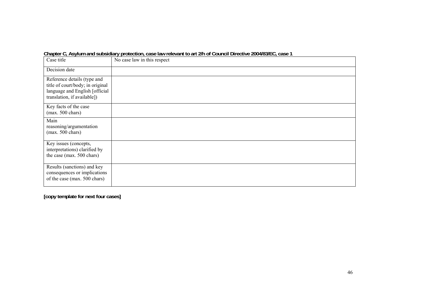| Case title                                                                                                                       | No case law in this respect |
|----------------------------------------------------------------------------------------------------------------------------------|-----------------------------|
| Decision date                                                                                                                    |                             |
| Reference details (type and<br>title of court/body; in original<br>language and English [official<br>translation, if available]) |                             |
| Key facts of the case<br>$(max. 500 \text{ chars})$                                                                              |                             |
| Main<br>reasoning/argumentation<br>$(max. 500 \text{ chars})$                                                                    |                             |
| Key issues (concepts,<br>interpretations) clarified by<br>the case (max. 500 chars)                                              |                             |
| Results (sanctions) and key<br>consequences or implications<br>of the case (max. 500 chars)                                      |                             |

**Chapter C, Asylum and subsidiary protection, case law relevant to art 2/h of Council Directive 2004/83/EC, case 1**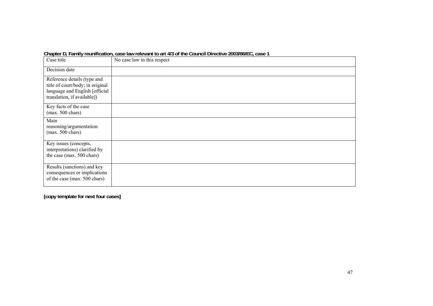|  |  |  |  | Chapter D, Family reunification, case law relevant to art 4/3 of the Council Directive 2003/86/EC, case 1 |
|--|--|--|--|-----------------------------------------------------------------------------------------------------------|
|--|--|--|--|-----------------------------------------------------------------------------------------------------------|

| Case title                                                                                                                       | No case law in this respect |
|----------------------------------------------------------------------------------------------------------------------------------|-----------------------------|
| Decision date                                                                                                                    |                             |
| Reference details (type and<br>title of court/body; in original<br>language and English [official<br>translation, if available]) |                             |
| Key facts of the case<br>$(max. 500 \text{ chars})$                                                                              |                             |
| Main<br>reasoning/argumentation<br>$(max. 500 \text{ chars})$                                                                    |                             |
| Key issues (concepts,<br>interpretations) clarified by<br>the case (max. 500 chars)                                              |                             |
| Results (sanctions) and key<br>consequences or implications<br>of the case (max. 500 chars)                                      |                             |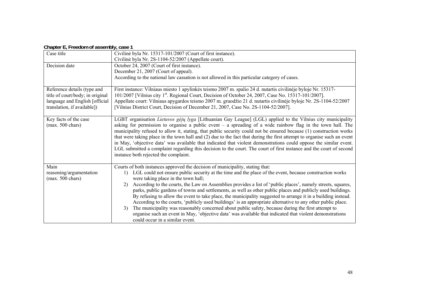|  | Chapter E, Freedom of assembly, case 1 |  |
|--|----------------------------------------|--|
|--|----------------------------------------|--|

| Case title                       | Civilinė byla Nr. 15317-101/2007 (Court of first instance).                                                                 |
|----------------------------------|-----------------------------------------------------------------------------------------------------------------------------|
|                                  | Civilinė byla Nr. 2S-1104-52/2007 (Appellate court).                                                                        |
| Decision date                    | October 24, 2007 (Court of first instance).                                                                                 |
|                                  | December 21, 2007 (Court of appeal).                                                                                        |
|                                  | According to the national law cassation is not allowed in this particular category of cases.                                |
|                                  |                                                                                                                             |
| Reference details (type and      | First instance: Vilniaus miesto 1 apylinkės teismo 2007 m. spalio 24 d. nutartis civilinėje byloje Nr. 15317-               |
| title of court/body; in original | 101/2007 [Vilnius city 1 <sup>st</sup> . Regional Court, Decision of October 24, 2007, Case No. 15317-101/2007].            |
| language and English [official   | Appellate court: Vilniaus apygardos teismo 2007 m. gruodžio 21 d. nutartis civilinėje byloje Nr. 2S-1104-52/2007            |
| translation, if available])      | [Vilnius District Court, Decision of December 21, 2007, Case No. 2S-1104-52/2007].                                          |
|                                  |                                                                                                                             |
| Key facts of the case            | LGBT organisation Lietuvos gėjų lyga [Lithuanian Gay League] (LGL) applied to the Vilnius city municipality                 |
| $(max. 500 \text{ chars})$       | asking for permission to organise a public event $-$ a spreading of a wide rainbow flag in the town hall. The               |
|                                  | municipality refused to allow it, stating, that public security could not be ensured because (1) construction works         |
|                                  | that were taking place in the town hall and (2) due to the fact that during the first attempt to organise such an event     |
|                                  | in May, 'objective data' was available that indicated that violent demonstrations could oppose the similar event.           |
|                                  | LGL submitted a complaint regarding this decision to the court. The court of first instance and the court of second         |
|                                  | instance both rejected the complaint.                                                                                       |
|                                  |                                                                                                                             |
| Main                             | Courts of both instances approved the decision of municipality, stating that:                                               |
| reasoning/argumentation          | LGL could not ensure public security at the time and the place of the event, because construction works<br>$\left  \right $ |
| $(max. 500 \text{ chars})$       | were taking place in the town hall;                                                                                         |
|                                  | According to the courts, the Law on Assemblies provides a list of 'public places', namely streets, squares,<br>2)           |
|                                  | parks, public gardens of towns and settlements, as well as other public places and publicly used buildings.                 |
|                                  | By refusing to allow the event to take place, the municipality suggested to arrange it in a building instead.               |
|                                  | According to the courts, 'publicly used buildings' is an appropriate alternative to any other public place.                 |
|                                  | The municipality was reasonably concerned about public safety, because during the first attempt to<br>3)                    |
|                                  | organise such an event in May, 'objective data' was available that indicated that violent demonstrations                    |
|                                  | could occur in a similar event.                                                                                             |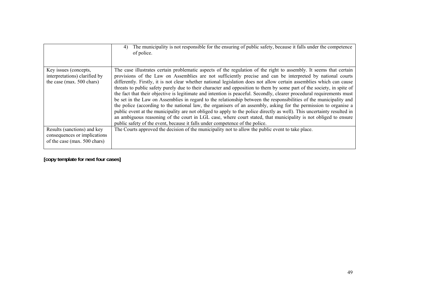|                                                                                             | The municipality is not responsible for the ensuring of public safety, because it falls under the competence<br>4)<br>of police.                                                                                                                                                                                                                                                                                                                                                                                                                                                                                                                                                                                                                                                                                                                                                                                                                                                                                                                                                                                                                                                     |
|---------------------------------------------------------------------------------------------|--------------------------------------------------------------------------------------------------------------------------------------------------------------------------------------------------------------------------------------------------------------------------------------------------------------------------------------------------------------------------------------------------------------------------------------------------------------------------------------------------------------------------------------------------------------------------------------------------------------------------------------------------------------------------------------------------------------------------------------------------------------------------------------------------------------------------------------------------------------------------------------------------------------------------------------------------------------------------------------------------------------------------------------------------------------------------------------------------------------------------------------------------------------------------------------|
| Key issues (concepts,<br>interpretations) clarified by<br>the case (max. 500 chars)         | The case illustrates certain problematic aspects of the regulation of the right to assembly. It seems that certain<br>provisions of the Law on Assemblies are not sufficiently precise and can be interpreted by national courts<br>differently. Firstly, it is not clear whether national legislation does not allow certain assemblies which can cause<br>threats to public safety purely due to their character and opposition to them by some part of the society, in spite of<br>the fact that their objective is legitimate and intention is peaceful. Secondly, clearer procedural requirements must<br>be set in the Law on Assemblies in regard to the relationship between the responsibilities of the municipality and<br>the police (according to the national law, the organisers of an assembly, asking for the permission to organise a<br>public event at the municipality are not obliged to apply to the police directly as well). This uncertainty resulted in<br>an ambiguous reasoning of the court in LGL case, where court stated, that municipality is not obliged to ensure<br>public safety of the event, because it falls under competence of the police. |
| Results (sanctions) and key<br>consequences or implications<br>of the case (max. 500 chars) | The Courts approved the decision of the municipality not to allow the public event to take place.                                                                                                                                                                                                                                                                                                                                                                                                                                                                                                                                                                                                                                                                                                                                                                                                                                                                                                                                                                                                                                                                                    |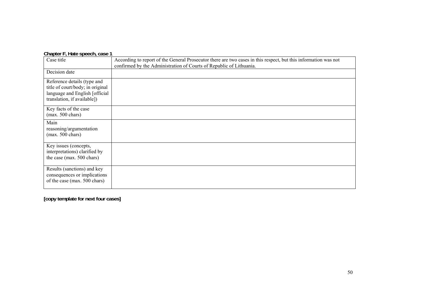#### **Chapter F, Hate speech, case 1**

| Case title                                                                                                                        | According to report of the General Prosecutor there are two cases in this respect, but this information was not<br>confirmed by the Administration of Courts of Republic of Lithuania. |
|-----------------------------------------------------------------------------------------------------------------------------------|----------------------------------------------------------------------------------------------------------------------------------------------------------------------------------------|
| Decision date                                                                                                                     |                                                                                                                                                                                        |
| Reference details (type and<br>title of court/body; in original<br>language and English [official]<br>translation, if available]) |                                                                                                                                                                                        |
| Key facts of the case<br>$(max. 500 \text{ chars})$                                                                               |                                                                                                                                                                                        |
| Main<br>reasoning/argumentation<br>$(max. 500 \text{ chars})$                                                                     |                                                                                                                                                                                        |
| Key issues (concepts,<br>interpretations) clarified by<br>the case (max. 500 chars)                                               |                                                                                                                                                                                        |
| Results (sanctions) and key<br>consequences or implications<br>of the case (max. 500 chars)                                       |                                                                                                                                                                                        |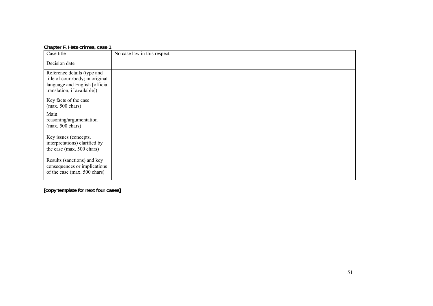| Chapter F, Hate crimes, case 1                                                                                                   |                             |
|----------------------------------------------------------------------------------------------------------------------------------|-----------------------------|
| Case title                                                                                                                       | No case law in this respect |
| Decision date                                                                                                                    |                             |
| Reference details (type and<br>title of court/body; in original<br>language and English [official<br>translation, if available]) |                             |
| Key facts of the case<br>$(max. 500 \text{ chars})$                                                                              |                             |
| Main<br>reasoning/argumentation<br>$(max. 500 \text{ chars})$                                                                    |                             |
| Key issues (concepts,<br>interpretations) clarified by<br>the case (max. 500 chars)                                              |                             |
| Results (sanctions) and key<br>consequences or implications<br>of the case (max. 500 chars)                                      |                             |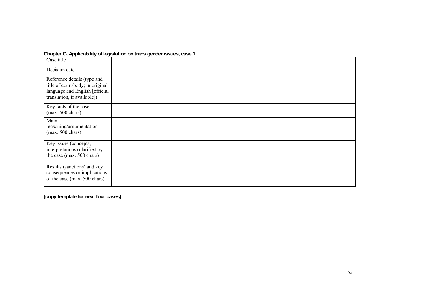#### **Chapter G, Applicability of legislation on trans gender issues, case 1**

| Case title                                                                                                                       |  |
|----------------------------------------------------------------------------------------------------------------------------------|--|
| Decision date                                                                                                                    |  |
| Reference details (type and<br>title of court/body; in original<br>language and English [official<br>translation, if available]) |  |
| Key facts of the case<br>$(max. 500 \text{ chars})$                                                                              |  |
| Main<br>reasoning/argumentation<br>$(max. 500 \text{ chars})$                                                                    |  |
| Key issues (concepts,<br>interpretations) clarified by<br>the case (max. 500 chars)                                              |  |
| Results (sanctions) and key<br>consequences or implications<br>of the case (max. 500 chars)                                      |  |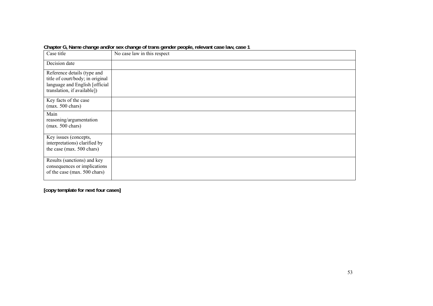| Case title                                                                                                                       | No case law in this respect |
|----------------------------------------------------------------------------------------------------------------------------------|-----------------------------|
| Decision date                                                                                                                    |                             |
| Reference details (type and<br>title of court/body; in original<br>language and English [official<br>translation, if available]) |                             |
| Key facts of the case<br>$(max. 500 \text{ chars})$                                                                              |                             |
| Main<br>reasoning/argumentation<br>$(max. 500 \text{ chars})$                                                                    |                             |
| Key issues (concepts,<br>interpretations) clarified by<br>the case (max. 500 chars)                                              |                             |
| Results (sanctions) and key<br>consequences or implications<br>of the case (max. 500 chars)                                      |                             |

**Chapter G, Name change and/or sex change of trans gender people, relevant case law, case 1**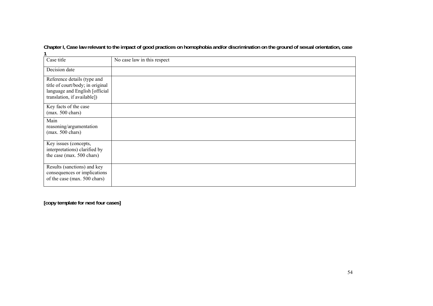**Chapter I, Case law relevant to the impact of good practices on homophobia and/or discrimination on the ground of sexual orientation, case 1** 

| Case title                                                                                                                       | No case law in this respect |
|----------------------------------------------------------------------------------------------------------------------------------|-----------------------------|
| Decision date                                                                                                                    |                             |
| Reference details (type and<br>title of court/body; in original<br>language and English [official<br>translation, if available]) |                             |
| Key facts of the case<br>$(max. 500 \text{ chars})$                                                                              |                             |
| Main<br>reasoning/argumentation<br>(max. 500 chars)                                                                              |                             |
| Key issues (concepts,<br>interpretations) clarified by<br>the case (max. 500 chars)                                              |                             |
| Results (sanctions) and key<br>consequences or implications<br>of the case (max. 500 chars)                                      |                             |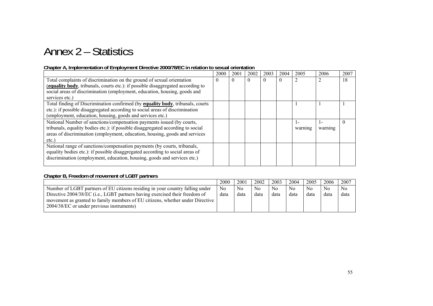# Annex 2 – Statistics

#### **Chapter A, Implementation of Employment Directive 2000/78/EC in relation to sexual orientation**

|                                                                                 | 2000     | 2001     | 2002     | 2003     | 2004 | 2005    | 2006    | 2007 |
|---------------------------------------------------------------------------------|----------|----------|----------|----------|------|---------|---------|------|
| Total complaints of discrimination on the ground of sexual orientation          | $\theta$ | $\theta$ | $\Omega$ | $\Omega$ |      |         |         | 18   |
| (equality body, tribunals, courts etc.): if possible disaggregated according to |          |          |          |          |      |         |         |      |
| social areas of discrimination (employment, education, housing, goods and       |          |          |          |          |      |         |         |      |
| services etc.)                                                                  |          |          |          |          |      |         |         |      |
| Total finding of Discrimination confirmed (by equality body, tribunals, courts  |          |          |          |          |      |         |         |      |
| etc.): if possible disaggregated according to social areas of discrimination    |          |          |          |          |      |         |         |      |
| (employment, education, housing, goods and services etc.)                       |          |          |          |          |      |         |         |      |
| National Number of sanctions/compensation payments issued (by courts,           |          |          |          |          |      |         |         |      |
| tribunals, equality bodies etc.): if possible disaggregated according to social |          |          |          |          |      | warning | warning |      |
| areas of discrimination (employment, education, housing, goods and services     |          |          |          |          |      |         |         |      |
| $etc.$ )                                                                        |          |          |          |          |      |         |         |      |
| National range of sanctions/compensation payments (by courts, tribunals,        |          |          |          |          |      |         |         |      |
| equality bodies etc.): if possible disaggregated according to social areas of   |          |          |          |          |      |         |         |      |
| discrimination (employment, education, housing, goods and services etc.)        |          |          |          |          |      |         |         |      |
|                                                                                 |          |          |          |          |      |         |         |      |

#### **Chapter B, Freedom of movement of LGBT partners**

|                                                                               | 2000           | 2001 | 2002           | 2003 | 2004           | 2005 | 2006           | 2007           |
|-------------------------------------------------------------------------------|----------------|------|----------------|------|----------------|------|----------------|----------------|
| Number of LGBT partners of EU citizens residing in your country falling under | N <sub>0</sub> | No   | N <sub>0</sub> | No   | N <sub>0</sub> | No   | N <sub>0</sub> | N <sub>0</sub> |
| Directive 2004/38/EC (i.e., LGBT partners having exercised their freedom of   | data           | data | data           | data | data           | data | data           | data           |
| movement as granted to family members of EU citizens, whether under Directive |                |      |                |      |                |      |                |                |
| 2004/38/EC or under previous instruments)                                     |                |      |                |      |                |      |                |                |
|                                                                               |                |      |                |      |                |      |                |                |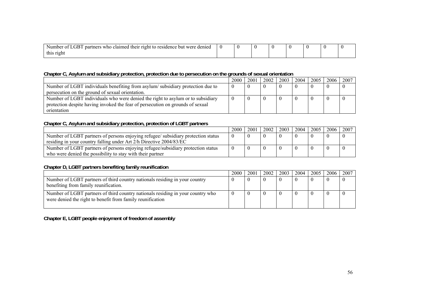| $\cap$ n $\Box$ n<br>.rnerc<br>were<br>denied <sup>.</sup><br>who<br>their<br>claimed<br>residence<br>nar<br>-Number<br>but<br>rıont<br>٠TĦ<br>TO.<br>$\cdots$ |  |  |  |  |
|----------------------------------------------------------------------------------------------------------------------------------------------------------------|--|--|--|--|
| right<br>thic<br><b>ULLO</b>                                                                                                                                   |  |  |  |  |

#### **Chapter C, Asylum and subsidiary protection, protection due to persecution on the grounds of sexual orientation**

|                                                                                 | 2000 | 2001 | 2002 | 2003 | 2004 | 2005 | 2006 | 2007 |
|---------------------------------------------------------------------------------|------|------|------|------|------|------|------|------|
| Number of LGBT individuals benefiting from asylum/subsidiary protection due to  |      |      |      |      |      |      |      |      |
| persecution on the ground of sexual orientation.                                |      |      |      |      |      |      |      |      |
| Number of LGBT individuals who were denied the right to asylum or to subsidiary |      |      |      |      |      |      |      |      |
| protection despite having invoked the fear of persecution on grounds of sexual  |      |      |      |      |      |      |      |      |
| orientation                                                                     |      |      |      |      |      |      |      |      |

#### **Chapter C, Asylum and subsidiary protection, protection of LGBT partners**

|                                                                                                                                                          | 2000 | 2001 | 2002 | 2003 | 2004 | 2005 | $-2006$ | 2007 |
|----------------------------------------------------------------------------------------------------------------------------------------------------------|------|------|------|------|------|------|---------|------|
| Number of LGBT partners of persons enjoying refugee/ subsidiary protection status<br>residing in your country falling under Art 2/h Directive 2004/83/EC |      |      |      |      |      |      |         |      |
| Number of LGBT partners of persons enjoying refugee/subsidiary protection status<br>who were denied the possibility to stay with their partner           |      |      |      |      |      |      |         |      |

#### **Chapter D, LGBT partners benefiting family reunification**

|                                                                                                                                               | 2000 | 2001 | 2002 | 2003 | 2004 | 2005 | 2006 | 2007 |
|-----------------------------------------------------------------------------------------------------------------------------------------------|------|------|------|------|------|------|------|------|
| Number of LGBT partners of third country nationals residing in your country<br>benefiting from family reunification.                          |      |      |      |      |      |      |      |      |
| Number of LGBT partners of third country nationals residing in your country who<br>were denied the right to benefit from family reunification |      |      |      |      |      |      |      |      |

**Chapter E, LGBT people enjoyment of freedom of assembly**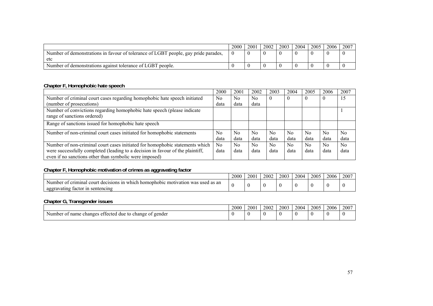|                                                                                    | 2000 | 2001 | 2002 | 2003 | 2004 | 2005 | 2006 | 2007 |
|------------------------------------------------------------------------------------|------|------|------|------|------|------|------|------|
| Number of demonstrations in favour of tolerance of LGBT people, gay pride parades, |      |      |      |      |      |      |      |      |
| etc                                                                                |      |      |      |      |      |      |      |      |
| Number of demonstrations against tolerance of LGBT people.                         |      |      |      |      |      |      |      |      |

#### **Chapter F, Homophobic hate speech**

|                                                                                | 2000           | 2001           | 2002           | 2003           | 2004 | 2005           | 2006           | 2007           |
|--------------------------------------------------------------------------------|----------------|----------------|----------------|----------------|------|----------------|----------------|----------------|
| Number of criminal court cases regarding homophobic hate speech initiated      | No.            | N <sub>0</sub> | N <sub>0</sub> | $\bf{0}$       | 0    |                | U              | 15             |
| (number of prosecutions)                                                       | data           | data           | data           |                |      |                |                |                |
| Number of convictions regarding homophobic hate speech (please indicate        |                |                |                |                |      |                |                |                |
| range of sanctions ordered)                                                    |                |                |                |                |      |                |                |                |
| Range of sanctions issued for homophobic hate speech                           |                |                |                |                |      |                |                |                |
| Number of non-criminal court cases initiated for homophobic statements         | N <sub>0</sub> | N <sub>0</sub> | N <sub>0</sub> | N <sub>0</sub> | No.  | N <sub>0</sub> | N <sub>0</sub> | N <sub>0</sub> |
|                                                                                | data           | data           | data           | data           | data | data           | data           | data           |
| Number of non-criminal court cases initiated for homophobic statements which   | No             | N <sub>0</sub> | N <sub>0</sub> | N <sub>0</sub> | No.  | N <sub>0</sub> | N <sub>0</sub> | N <sub>0</sub> |
| were successfully completed (leading to a decision in favour of the plaintiff, | data           | data           | data           | data           | data | data           | data           | data           |
| even if no sanctions other than symbolic were imposed)                         |                |                |                |                |      |                |                |                |

#### **Chapter F, Homophobic motivation of crimes as aggravating factor**

|                                                                                                                     | 2000 | 2001 | 2002 | 2003 | 2004 | 2005 | 2006 | 2007 |
|---------------------------------------------------------------------------------------------------------------------|------|------|------|------|------|------|------|------|
| used as an<br>criminal<br>: motivation was<br>cour<br>m<br>which<br>i homophobic<br>decisions<br>Number<br>$\Omega$ |      |      |      |      |      |      |      |      |
| sentencing<br>aggravating<br>factor<br>m                                                                            |      |      |      |      |      |      | . .  |      |

#### **Chapter G, Transgender issues**

|                                                                                         | 2000<br>∠∪∪∪ | $200^{\circ}$ | 2002 | 2003 | 2004 | 2005 | 2006 | 2007 |
|-----------------------------------------------------------------------------------------|--------------|---------------|------|------|------|------|------|------|
| r gender<br>es ettected<br>to change of<br>name<br>changes<br>due<br>Number<br>$\Omega$ |              |               |      |      |      |      |      |      |